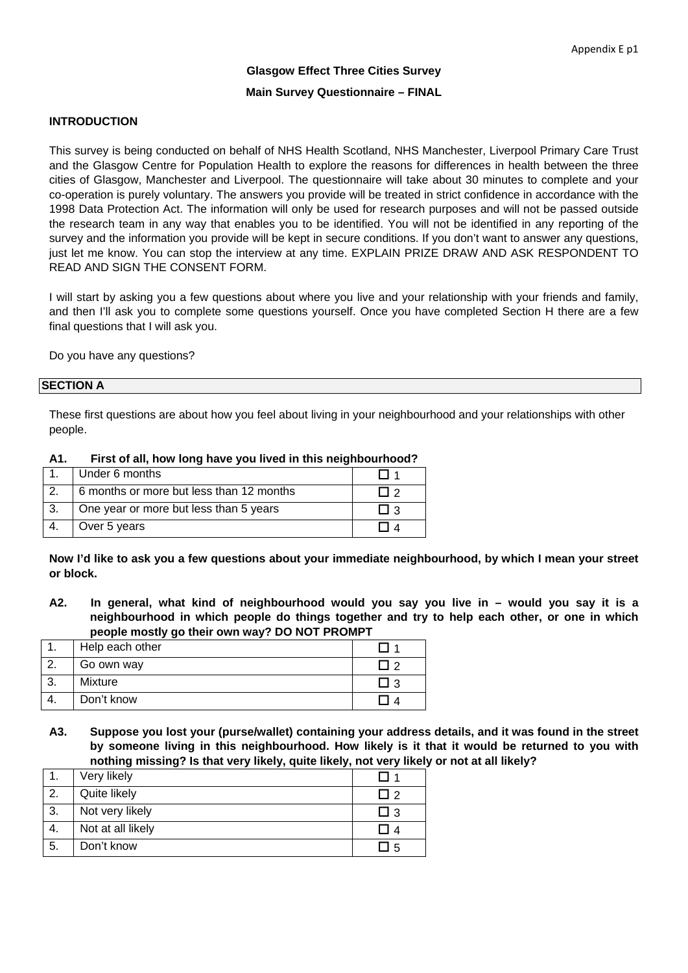# **Glasgow Effect Three Cities Survey Main Survey Questionnaire – FINAL**

#### **INTRODUCTION**

This survey is being conducted on behalf of NHS Health Scotland, NHS Manchester, Liverpool Primary Care Trust and the Glasgow Centre for Population Health to explore the reasons for differences in health between the three cities of Glasgow, Manchester and Liverpool. The questionnaire will take about 30 minutes to complete and your co-operation is purely voluntary. The answers you provide will be treated in strict confidence in accordance with the 1998 Data Protection Act. The information will only be used for research purposes and will not be passed outside the research team in any way that enables you to be identified. You will not be identified in any reporting of the survey and the information you provide will be kept in secure conditions. If you don't want to answer any questions, just let me know. You can stop the interview at any time. EXPLAIN PRIZE DRAW AND ASK RESPONDENT TO READ AND SIGN THE CONSENT FORM.

I will start by asking you a few questions about where you live and your relationship with your friends and family, and then I'll ask you to complete some questions yourself. Once you have completed Section H there are a few final questions that I will ask you.

Do you have any questions?

#### **SECTION A**

These first questions are about how you feel about living in your neighbourhood and your relationships with other people.

| A1. | First of all, how long have you lived in this neighbourhood? |  |
|-----|--------------------------------------------------------------|--|
|     | 1 Under 6 months                                             |  |

| Under 6 months                           |  |
|------------------------------------------|--|
| 6 months or more but less than 12 months |  |
| One year or more but less than 5 years   |  |
| Over 5 years                             |  |

**Now I'd like to ask you a few questions about your immediate neighbourhood, by which I mean your street or block.** 

**A2. In general, what kind of neighbourhood would you say you live in – would you say it is a neighbourhood in which people do things together and try to help each other, or one in which people mostly go their own way? DO NOT PROMPT** 

| Help each other |  |
|-----------------|--|
| Go own way      |  |
| Mixture         |  |
| Don't know      |  |

**A3. Suppose you lost your (purse/wallet) containing your address details, and it was found in the street by someone living in this neighbourhood. How likely is it that it would be returned to you with nothing missing? Is that very likely, quite likely, not very likely or not at all likely?** 

|    | Very likely       |       |
|----|-------------------|-------|
| 2. | Quite likely      | - I 2 |
| 3. | Not very likely   | l I 3 |
|    | Not at all likely |       |
| 5. | Don't know        | -5    |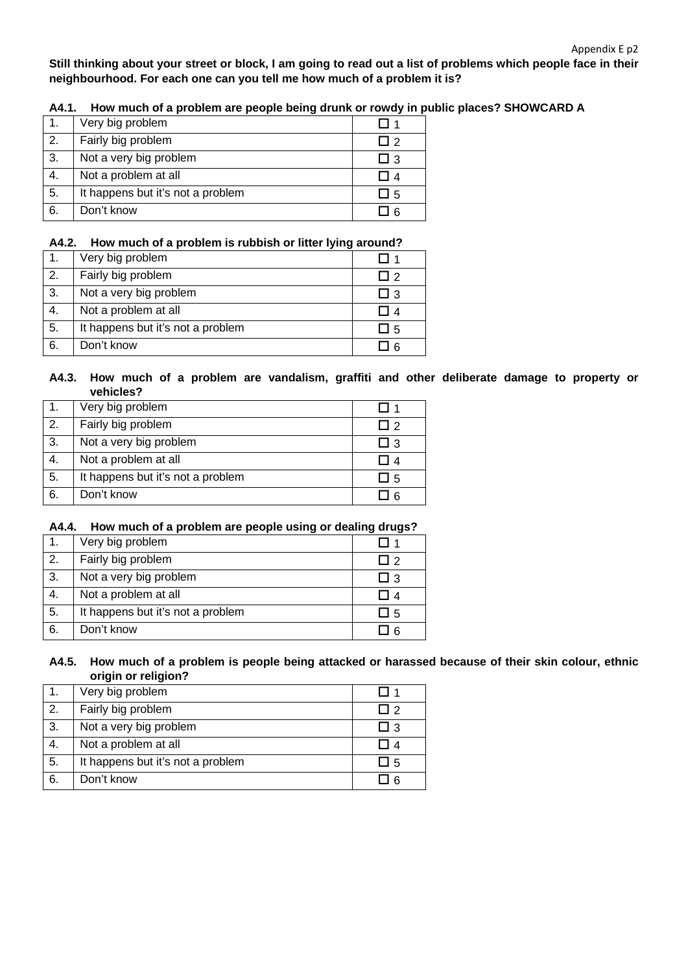**Still thinking about your street or block, I am going to read out a list of problems which people face in their neighbourhood. For each one can you tell me how much of a problem it is?** 

|  |  |  | A4.1. How much of a problem are people being drunk or rowdy in public places? SHOWCARD A |  |
|--|--|--|------------------------------------------------------------------------------------------|--|
|--|--|--|------------------------------------------------------------------------------------------|--|

| $\mathbf{1}$ . | Very big problem                  |      |
|----------------|-----------------------------------|------|
| 2.             | Fairly big problem                | ר ו  |
| 3.             | Not a very big problem            | LI 3 |
| 4.             | Not a problem at all              |      |
| -5.            | It happens but it's not a problem | ⊿ 5  |
| 6.             | Don't know                        |      |

#### **A4.2. How much of a problem is rubbish or litter lying around?**

|    | Very big problem                  |                          |
|----|-----------------------------------|--------------------------|
| 2. | Fairly big problem                | $\overline{\phantom{a}}$ |
| 3. | Not a very big problem            | ⊿ 3                      |
| 4. | Not a problem at all              |                          |
| 5. | It happens but it's not a problem | - 5                      |
| 6. | Don't know                        |                          |

### **A4.3. How much of a problem are vandalism, graffiti and other deliberate damage to property or vehicles?**

| $\mathbf 1$ .    | Very big problem                  |            |
|------------------|-----------------------------------|------------|
| $\overline{2}$ . | Fairly big problem                | כ ו        |
| 3.               | Not a very big problem            | <u>ე</u> ვ |
| 4.               | Not a problem at all              |            |
| 5.               | It happens but it's not a problem | ⊿ 5        |
| 6.               | Don't know                        |            |

#### **A4.4. How much of a problem are people using or dealing drugs?**

|    | Very big problem                  |       |
|----|-----------------------------------|-------|
| 2. | Fairly big problem                | l I 2 |
| 3. | Not a very big problem            | LI 3  |
| 4. | Not a problem at all              | 14    |
| 5. | It happens but it's not a problem | LI 5  |
| 6. | Don't know                        |       |

#### **A4.5. How much of a problem is people being attacked or harassed because of their skin colour, ethnic origin or religion?**

|    | Very big problem                  |     |
|----|-----------------------------------|-----|
| 2. | Fairly big problem                | ∣ ? |
| 3. | Not a very big problem            | I 3 |
| 4. | Not a problem at all              |     |
| 5. | It happens but it's not a problem | ⊿ 5 |
| 6. | Don't know                        |     |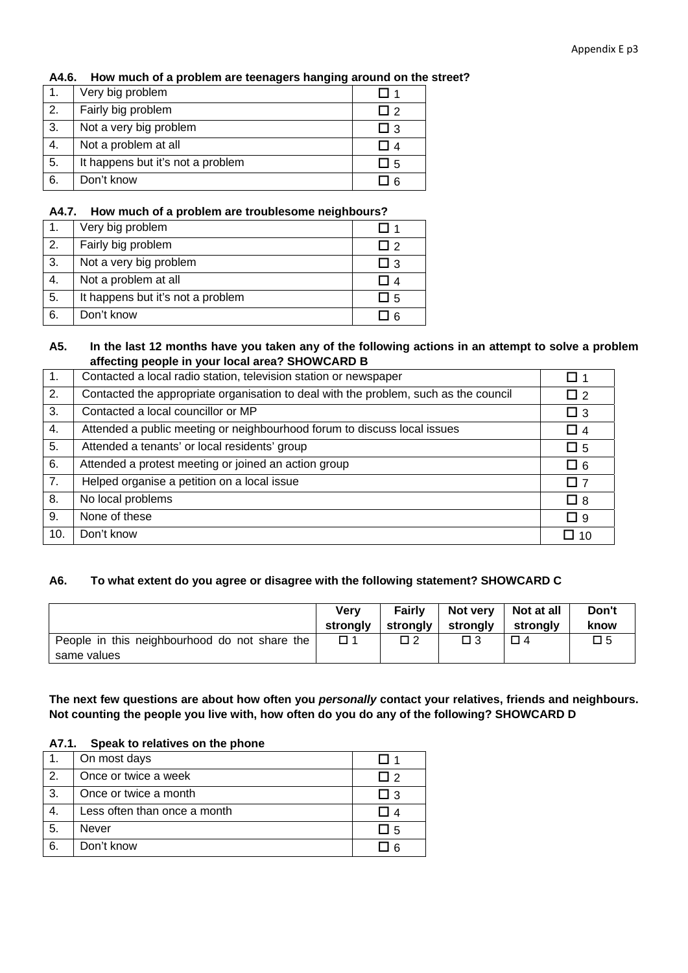#### **A4.6. How much of a problem are teenagers hanging around on the street?**

|    | Very big problem                  |                          |
|----|-----------------------------------|--------------------------|
| 2. | Fairly big problem                | $\overline{\phantom{a}}$ |
| 3. | Not a very big problem            | l I 3                    |
| 4. | Not a problem at all              |                          |
| 5. | It happens but it's not a problem | - 15                     |
| 6. | Don't know                        |                          |

#### **A4.7. How much of a problem are troublesome neighbours?**

|    | Very big problem                  |            |
|----|-----------------------------------|------------|
| 2. | Fairly big problem                | <b>I</b> 2 |
| 3. | Not a very big problem            | I I 3      |
| 4. | Not a problem at all              |            |
| 5. | It happens but it's not a problem | - 1.5      |
| 6. | Don't know                        |            |

### **A5. In the last 12 months have you taken any of the following actions in an attempt to solve a problem affecting people in your local area? SHOWCARD B**

| 1.               | Contacted a local radio station, television station or newspaper                     | □ 1         |
|------------------|--------------------------------------------------------------------------------------|-------------|
| 2.               | Contacted the appropriate organisation to deal with the problem, such as the council | $\Box$ 2    |
| $\overline{3}$ . | Contacted a local councillor or MP                                                   | $\Box$ 3    |
| 4.               | Attended a public meeting or neighbourhood forum to discuss local issues             | $\Box$ 4    |
| 5.               | Attended a tenants' or local residents' group                                        | $\square$ 5 |
| 6.               | Attended a protest meeting or joined an action group                                 | $\Box$ 6    |
| $\overline{7}$ . | Helped organise a petition on a local issue                                          | $\square$ 7 |
| 8.               | No local problems                                                                    | $\Box$ 8    |
| 9.               | None of these                                                                        | $\Box$ 9    |
| 10.              | Don't know                                                                           | $\Box$ 10   |

### **A6. To what extent do you agree or disagree with the following statement? SHOWCARD C**

|                                                              | Verv     | Fairly   | Not very | Not at all | Don't |
|--------------------------------------------------------------|----------|----------|----------|------------|-------|
|                                                              | stronaly | stronalv | stronalv | strongly   | know  |
| People in this neighbourhood do not share the<br>same values | □ 1      | $\Box$ 2 | 3 ⊓      | $\Box$ 4   | 口 5   |

**The next few questions are about how often you** *personally* **contact your relatives, friends and neighbours. Not counting the people you live with, how often do you do any of the following? SHOWCARD D** 

#### **A7.1. Speak to relatives on the phone**

|    | On most days                 |       |
|----|------------------------------|-------|
| 2. | Once or twice a week         | l I 2 |
| 3. | Once or twice a month        | I I 3 |
| 4. | Less often than once a month |       |
| 5. | Never                        | LI 5  |
| 6. | Don't know                   |       |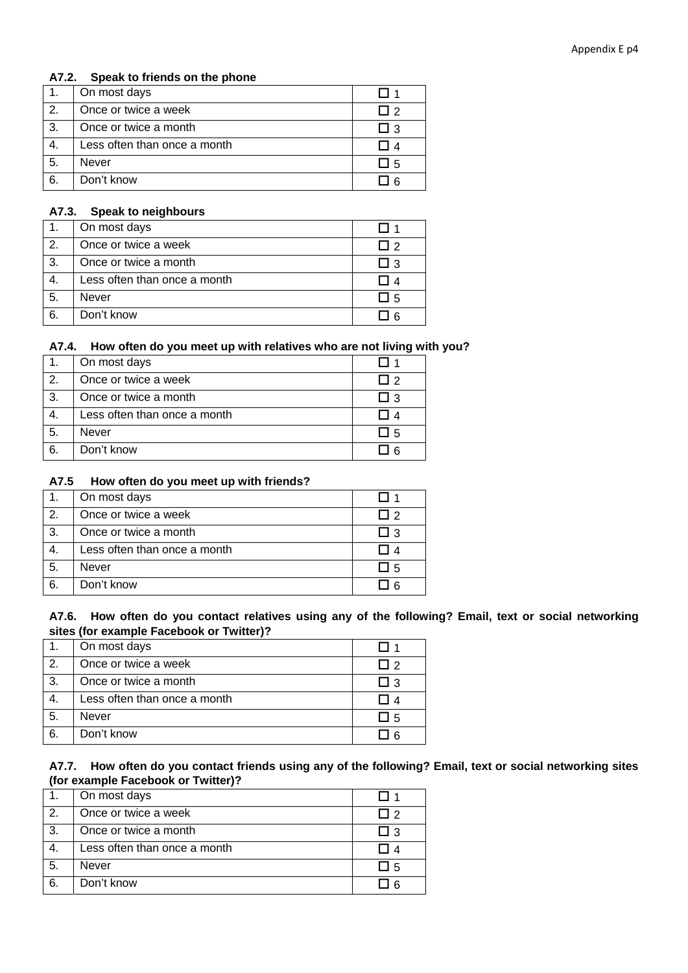### **A7.2. Speak to friends on the phone**

| 1. | On most days                 |            |
|----|------------------------------|------------|
| 2. | Once or twice a week         | <b>I</b> 2 |
| 3. | Once or twice a month        | LI 3       |
| 4. | Less often than once a month |            |
| 5. | Never                        | ⊿ 5        |
| 6. | Don't know                   |            |

### **A7.3. Speak to neighbours**

| 1. | On most days                 |       |
|----|------------------------------|-------|
| 2. | Once or twice a week         | ່າ    |
| 3. | Once or twice a month        | - 1.3 |
| 4. | Less often than once a month |       |
| 5. | Never                        | -15   |
| 6. | Don't know                   |       |

### **A7.4. How often do you meet up with relatives who are not living with you?**

| $\mathbf{1}$ . | On most days                 |            |
|----------------|------------------------------|------------|
| 2.             | Once or twice a week         | <b>I</b> 2 |
| -3.            | Once or twice a month        | $+13$      |
| -4.            | Less often than once a month |            |
| 5.             | Never                        | l I 5      |
| 6.             | Don't know                   |            |

### **A7.5 How often do you meet up with friends?**

| $\mathbf 1$ . | On most days                 |            |
|---------------|------------------------------|------------|
| 2.            | Once or twice a week         | <b>I</b> 2 |
| 3.            | Once or twice a month        | LI 3       |
| 4.            | Less often than once a month |            |
| 5.            | Never                        | ⊿ 5        |
| 6.            | Don't know                   | -6         |

### **A7.6. How often do you contact relatives using any of the following? Email, text or social networking sites (for example Facebook or Twitter)?**

| $\mathbf{1}$ . | On most days                 |       |
|----------------|------------------------------|-------|
| 2.             | Once or twice a week         | l I 2 |
| $\cdot$ 3.     | Once or twice a month        | □ 3   |
| 4.             | Less often than once a month |       |
| 5.             | Never                        | J 5   |
| 6.             | Don't know                   |       |

### **A7.7. How often do you contact friends using any of the following? Email, text or social networking sites (for example Facebook or Twitter)?**

| $-1.$ | On most days                 |       |
|-------|------------------------------|-------|
| 2.    | Once or twice a week         | l I 2 |
| 3.    | Once or twice a month        | ⊔ 3   |
|       | Less often than once a month |       |
| 5.    | Never                        | □ 5   |
| 6.    | Don't know                   |       |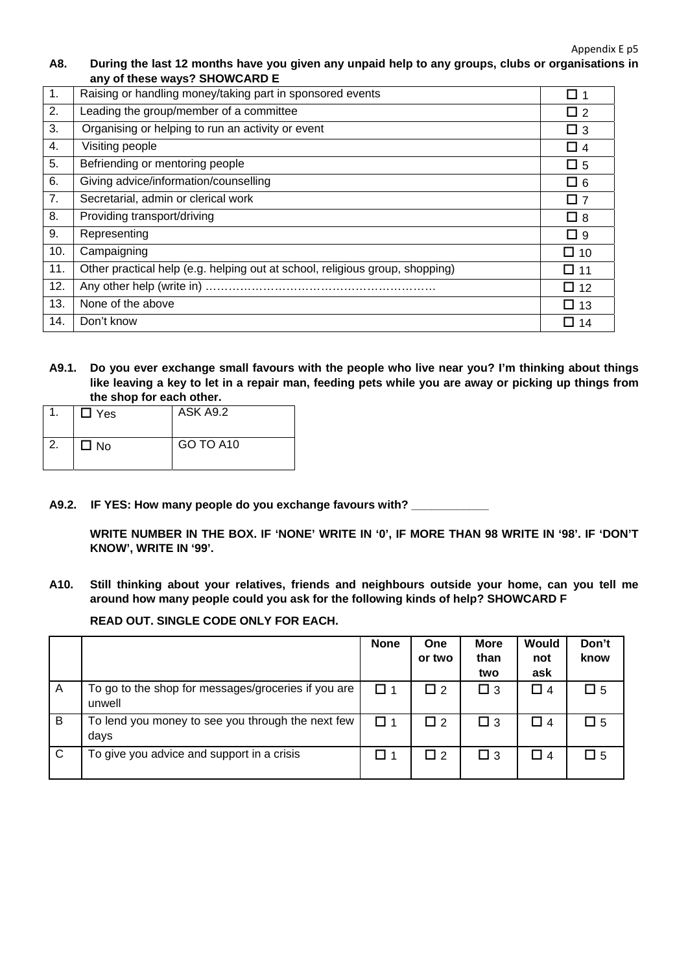Appendix E p5

### **A8. During the last 12 months have you given any unpaid help to any groups, clubs or organisations in any of these ways? SHOWCARD E**

| $\overline{1}$ . | Raising or handling money/taking part in sponsored events                    | $\square$ 1 |
|------------------|------------------------------------------------------------------------------|-------------|
| 2.               | Leading the group/member of a committee                                      | $\Box$ 2    |
| 3.               | Organising or helping to run an activity or event                            | $\Box$ 3    |
| 4.               | Visiting people                                                              | $\Box$ 4    |
| 5.               | Befriending or mentoring people                                              | $\Box$ 5    |
| 6.               | Giving advice/information/counselling                                        | $\square$ 6 |
| 7.               | Secretarial, admin or clerical work                                          | $\square$ 7 |
| 8.               | Providing transport/driving                                                  | $\Box$ 8    |
| 9.               | Representing                                                                 | $\Box$ 9    |
| 10.              | Campaigning                                                                  | $\Box$ 10   |
| 11.              | Other practical help (e.g. helping out at school, religious group, shopping) | $\Box$ 11   |
| 12.              |                                                                              | $\Box$ 12   |
| 13.              | None of the above                                                            | $\Box$ 13   |
| 14.              | Don't know                                                                   | $\Box$ 14   |

**A9.1. Do you ever exchange small favours with the people who live near you? I'm thinking about things like leaving a key to let in a repair man, feeding pets while you are away or picking up things from the shop for each other.** 

|    | $\Box$ Yes | ASK A9.2  |
|----|------------|-----------|
| 2. | $\Box$ No  | GO TO A10 |

**A9.2. IF YES: How many people do you exchange favours with? \_\_\_\_\_\_\_\_\_\_\_\_** 

**WRITE NUMBER IN THE BOX. IF 'NONE' WRITE IN '0', IF MORE THAN 98 WRITE IN '98'. IF 'DON'T KNOW', WRITE IN '99'.** 

**A10. Still thinking about your relatives, friends and neighbours outside your home, can you tell me around how many people could you ask for the following kinds of help? SHOWCARD F** 

### **READ OUT. SINGLE CODE ONLY FOR EACH.**

|              |                                                               | <b>None</b> | One<br>or two | <b>More</b><br>than<br>two | Would<br>not<br>ask | Don't<br>know |
|--------------|---------------------------------------------------------------|-------------|---------------|----------------------------|---------------------|---------------|
| A            | To go to the shop for messages/groceries if you are<br>unwell | □ 1         | $\Box$ 2      | $\Box$ 3                   | $\Box$ 4            | $\Box$ 5      |
| B            | To lend you money to see you through the next few<br>days     | □ 1         | $\Box$ 2      | $\Box$ 3                   | □ 4                 | $\square$ 5   |
| $\mathsf{C}$ | To give you advice and support in a crisis                    | ❏ 1         | $\Box$ 2      | $\Box$ 3                   | □ 4                 | $\square$ 5   |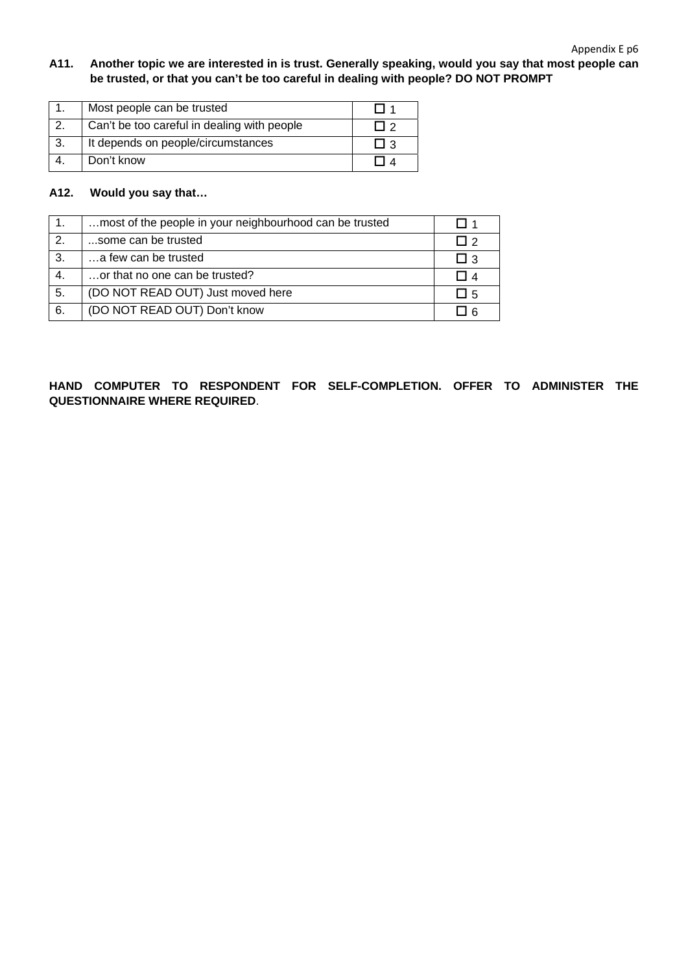### **A11. Another topic we are interested in is trust. Generally speaking, would you say that most people can be trusted, or that you can't be too careful in dealing with people? DO NOT PROMPT**

| Most people can be trusted                  |                |
|---------------------------------------------|----------------|
| Can't be too careful in dealing with people | $\overline{1}$ |
| It depends on people/circumstances          |                |
| Don't know                                  |                |

### **A12. Would you say that…**

| $\overline{1}$ . | most of the people in your neighbourhood can be trusted | II 1        |
|------------------|---------------------------------------------------------|-------------|
| $\overline{2}$ . | some can be trusted                                     | $\Box$ 2    |
| $\overline{3}$ . | a few can be trusted                                    | □ 3         |
| 4.               | or that no one can be trusted?                          | П 4         |
| 5.               | (DO NOT READ OUT) Just moved here                       | $\square$ 5 |
| 6.               | (DO NOT READ OUT) Don't know                            | l I 6       |

### **HAND COMPUTER TO RESPONDENT FOR SELF-COMPLETION. OFFER TO ADMINISTER THE QUESTIONNAIRE WHERE REQUIRED**.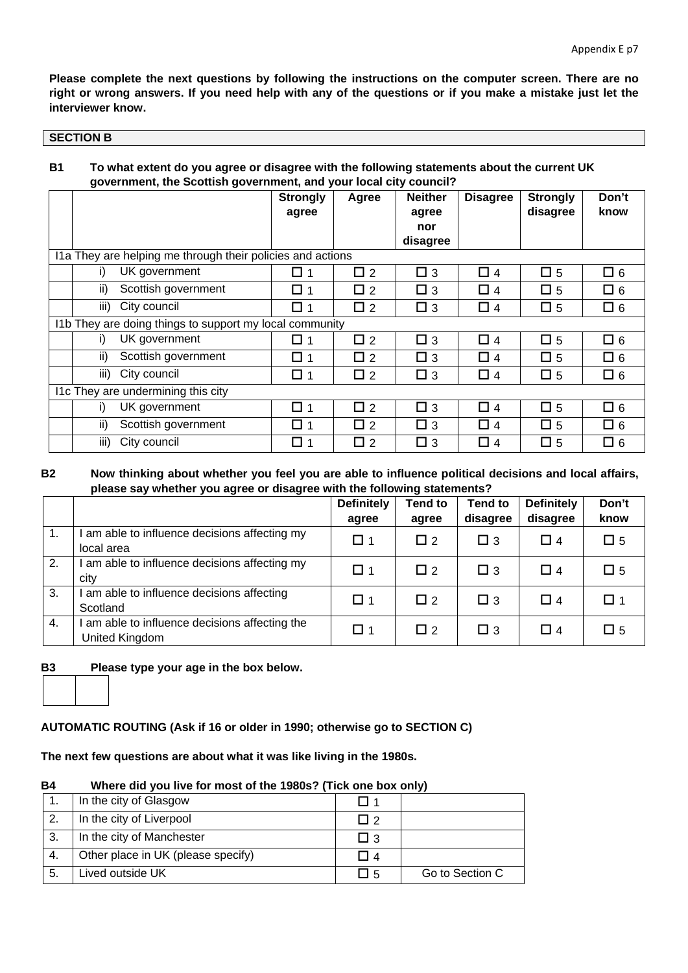**Please complete the next questions by following the instructions on the computer screen. There are no right or wrong answers. If you need help with any of the questions or if you make a mistake just let the interviewer know.** 

#### **SECTION B**

### **B1 To what extent do you agree or disagree with the following statements about the current UK government, the Scottish government, and your local city council?**

|                                                            | <b>Strongly</b> | Agree    | <b>Neither</b> | <b>Disagree</b> | <b>Strongly</b> | Don't       |
|------------------------------------------------------------|-----------------|----------|----------------|-----------------|-----------------|-------------|
|                                                            | agree           |          | agree          |                 | disagree        | know        |
|                                                            |                 |          | nor            |                 |                 |             |
|                                                            |                 |          | disagree       |                 |                 |             |
| I1a They are helping me through their policies and actions |                 |          |                |                 |                 |             |
| UK government<br>i)                                        | □ 1             | $\Box$ 2 | $\Box$ 3       | $\Box$ 4        | $\square$ 5     | $\square$ 6 |
| Scottish government<br>ii)                                 | □ 1             | $\Box$ 2 | $\Box$ 3       | $\Box$ 4        | $\Box$ 5        | $\square$ 6 |
| iii) City council                                          | □ 1             | $\Box$ 2 | $\Box$ 3       | $\Box$ 4        | $\square$ 5     | $\square$ 6 |
| I1b They are doing things to support my local community    |                 |          |                |                 |                 |             |
| UK government<br>i)                                        | □ 1             | $\Box$ 2 | $\Box$ 3       | $\Box$ 4        | $\Box$ 5        | $\square$ 6 |
| Scottish government<br>ii)                                 | □ 1             | $\Box$ 2 | $\Box$ 3       | $\Box$ 4        | $\square$ 5     | $\square$ 6 |
| City council<br>iii)                                       | $\Box$ 1        | $\Box$ 2 | $\square$ 3    | $\Box$ 4        | $\square$ 5     | $\square$ 6 |
| I1c They are undermining this city                         |                 |          |                |                 |                 |             |
| UK government<br>i)                                        | □ 1             | $\Box$ 2 | $\Box$ 3       | $\Box$ 4        | $\Box$ 5        | $\square$ 6 |
| Scottish government<br>ii)                                 | $\Box$ 1        | $\Box$ 2 | $\Box$ 3       | $\Box$ 4        | $\square$ 5     | $\square$ 6 |
| City council<br>iii)                                       | $\Box$ 1        | $\Box$ 2 | $\Box$ 3       | $\Box$ 4        | $\square$ 5     | $\square$ 6 |

### **B2 Now thinking about whether you feel you are able to influence political decisions and local affairs, please say whether you agree or disagree with the following statements?**

|    |                                                                | <b>Definitely</b> | <b>Tend to</b> | <b>Tend to</b> | <b>Definitely</b> | Don't       |
|----|----------------------------------------------------------------|-------------------|----------------|----------------|-------------------|-------------|
|    |                                                                | agree             | agree          | disagree       | disagree          | know        |
| 1. | am able to influence decisions affecting my<br>local area      | $\square$ 1       | $\Box$ 2       | $\Box$ 3       | $\Box$ 4          | $\square$ 5 |
| 2. | am able to influence decisions affecting my<br>city            | $\Box$ 1          | $\Box$ 2       | $\Box$ 3       | $\Box$ 4          | $\square$ 5 |
| 3. | am able to influence decisions affecting<br>Scotland           | □ 1               | $\Box$ 2       | $\Box$ 3       | $\Box$ 4          | □ 1         |
| 4. | am able to influence decisions affecting the<br>United Kingdom | $\square$ 1       | $\Box$ 2       | $\Box$ 3       | $\Box$ 4          | $\square$ 5 |

**B3 Please type your age in the box below.** 

### **AUTOMATIC ROUTING (Ask if 16 or older in 1990; otherwise go to SECTION C)**

### **The next few questions are about what it was like living in the 1980s.**

#### **B4 Where did you live for most of the 1980s? (Tick one box only)**

|     | In the city of Glasgow             | II 1    |                 |
|-----|------------------------------------|---------|-----------------|
| 2.  | In the city of Liverpool           | П 2     |                 |
| -3. | In the city of Manchester          | □ з     |                 |
| 4.  | Other place in UK (please specify) | I I 4   |                 |
| 5.  | Lived outside UK                   | $\Pi$ 5 | Go to Section C |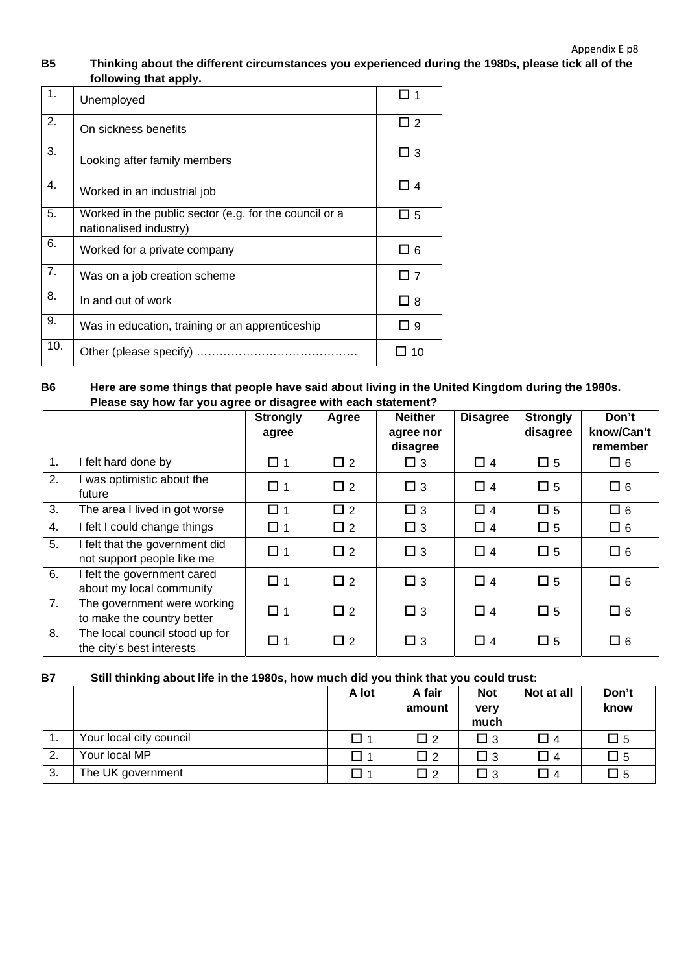### **B5 Thinking about the different circumstances you experienced during the 1980s, please tick all of the following that apply.**

| 1.  | Unemployed                                                                       |             |
|-----|----------------------------------------------------------------------------------|-------------|
| 2.  | On sickness benefits                                                             | □ 2         |
| 3.  | Looking after family members                                                     | □ 3         |
| 4.  | Worked in an industrial job                                                      | $\Box$ 4    |
| 5.  | Worked in the public sector (e.g. for the council or a<br>nationalised industry) | $\Box$ 5    |
| 6.  | Worked for a private company                                                     | □ 6         |
| 7.  | Was on a job creation scheme                                                     | $\Box$ 7    |
| 8.  | In and out of work                                                               | $\square$ 8 |
| 9.  | Was in education, training or an apprenticeship                                  | □ 9         |
| 10. |                                                                                  | 10          |

### **B6 Here are some things that people have said about living in the United Kingdom during the 1980s. Please say how far you agree or disagree with each statement?**

|    |                                                              | <b>Strongly</b> | Agree    | <b>Neither</b>        | <b>Disagree</b> | <b>Strongly</b> | Don't                  |
|----|--------------------------------------------------------------|-----------------|----------|-----------------------|-----------------|-----------------|------------------------|
|    |                                                              | agree           |          | agree nor<br>disagree |                 | disagree        | know/Can't<br>remember |
| 1. | I felt hard done by                                          | $\Box$ 1        | $\Box$ 2 | $\Box$ 3              | $\Box$ 4        | $\square$ 5     | $\square$ 6            |
| 2. | I was optimistic about the<br>future                         | $\Box$ 1        | $\Box$ 2 | $\square$ 3           | $\Box$ 4        | $\square$ 5     | $\square$ 6            |
| 3. | The area I lived in got worse                                | $\square$ 1     | $\Box$ 2 | $\Box$ 3              | $\Box$ 4        | $\square$ 5     | $\square$ 6            |
| 4. | I felt I could change things                                 | $\Box$ 1        | $\Box$ 2 | $\square$ 3           | $\Box$ 4        | $\square$ 5     | $\square$ 6            |
| 5. | I felt that the government did<br>not support people like me | $\Box$ 1        | $\Box$ 2 | $\Box$ 3              | $\Box$ 4        | $\square$ 5     | $\square$ 6            |
| 6. | I felt the government cared<br>about my local community      | $\Box$ 1        | $\Box$ 2 | $\Box$ 3              | $\Box$ 4        | $\square$ 5     | $\square$ 6            |
| 7. | The government were working<br>to make the country better    | $\Box$ 1        | $\Box$ 2 | $\Box$ 3              | $\Box$ 4        | $\square$ 5     | $\square$ 6            |
| 8. | The local council stood up for<br>the city's best interests  | $\Box$ 1        | $\Box$ 2 | $\Box$ 3              | $\Box$ 4        | $\square$ 5     | $\Box$ 6               |

### **B7 Still thinking about life in the 1980s, how much did you think that you could trust:**

|    |                         | A lot | A fair<br>amount | <b>Not</b><br>very<br>much | Not at all | Don't<br>know |
|----|-------------------------|-------|------------------|----------------------------|------------|---------------|
|    | Your local city council |       | $\mathsf{L}$     | $\square$ 3                | ப 4        | $\square$ 5   |
| 2. | Your local MP           | П 1   | Пэ               | $\Box$ 3                   | コ 4        | $\square$ 5   |
| 3. | The UK government       | l 14  | $\mathsf{L}$     | $\square$ 3                | $\Box$ 4   | $\square$ 5   |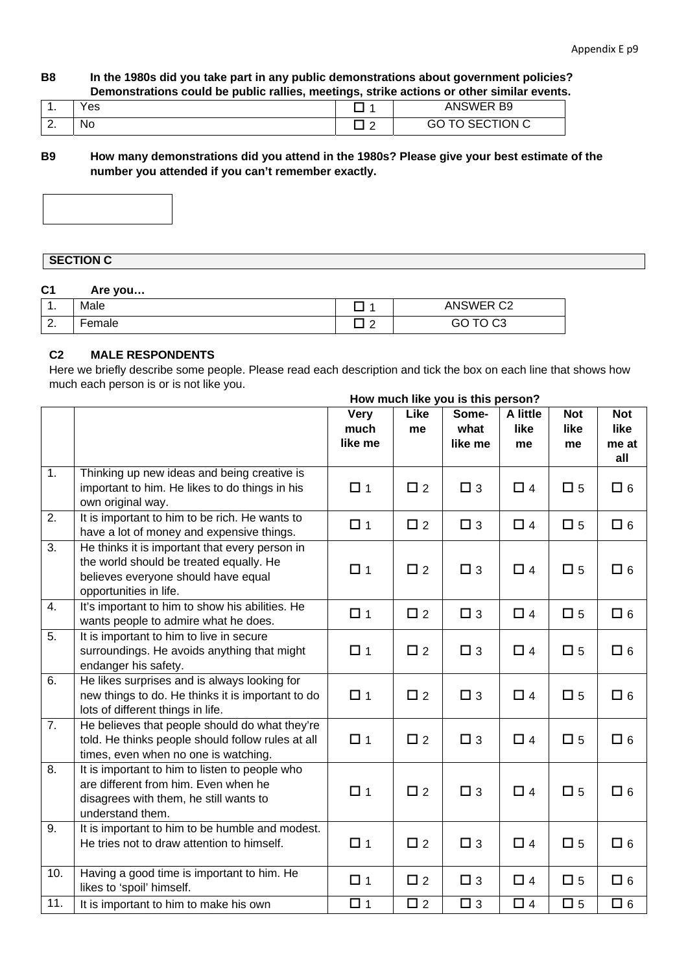### **B8 In the 1980s did you take part in any public demonstrations about government policies? Demonstrations could be public rallies, meetings, strike actions or other similar events.**

| . .      | Yes |                     | <b>ANSWER B9</b><br>AINO.             |
|----------|-----|---------------------|---------------------------------------|
| <u>.</u> | No  | $\overline{ }$<br>- | $\cap$<br>TION C<br>.<br>ںی<br>ັ<br>∼ |

**B9 How many demonstrations did you attend in the 1980s? Please give your best estimate of the number you attended if you can't remember exactly.** 



### **SECTION C**

### **C1 Are you…**

| л<br>. . | Male   |   | ANSWER C2                                 |
|----------|--------|---|-------------------------------------------|
| $\sim$   | Female | - | $\cap$ $\cap$ $\cap$ $\cap$<br>JU<br>U UJ |

### **C2 MALE RESPONDENTS**

Here we briefly describe some people. Please read each description and tick the box on each line that shows how much each person is or is not like you.

#### **How much like you is this person?**

|                  |                                                                                                                                                            | <b>Very</b><br>much<br>like me | Like<br>me  | Some-<br>what<br>like me | A little<br>like<br>me | <b>Not</b><br>like<br>me | <b>Not</b><br>like<br>me at<br>all |
|------------------|------------------------------------------------------------------------------------------------------------------------------------------------------------|--------------------------------|-------------|--------------------------|------------------------|--------------------------|------------------------------------|
| 1.               | Thinking up new ideas and being creative is<br>important to him. He likes to do things in his<br>own original way.                                         | $\Box$ 1                       | $\square$ 2 | $\square$ 3              | $\Box$ 4               | $\square$ 5              | $\Box$ 6                           |
| $\overline{2}$ . | It is important to him to be rich. He wants to<br>have a lot of money and expensive things.                                                                | $\Box$ 1                       | $\square$ 2 | $\Box$ 3                 | $\Box$ 4               | $\square$ 5              | $\Box$ 6                           |
| $\overline{3}$ . | He thinks it is important that every person in<br>the world should be treated equally. He<br>believes everyone should have equal<br>opportunities in life. | $\Box$ 1                       | $\square$ 2 | $\Box$ 3                 | $\Box$ 4               | $\Box$ 5                 | $\square$ 6                        |
| 4.               | It's important to him to show his abilities. He<br>wants people to admire what he does.                                                                    | $\Box$ 1                       | $\square$ 2 | $\square$ 3              | $\Box$ 4               | $\square$ 5              | $\square$ 6                        |
| 5.               | It is important to him to live in secure<br>surroundings. He avoids anything that might<br>endanger his safety.                                            | $\Box$ 1                       | $\square$ 2 | $\square$ 3              | $\Box$ 4               | $\square$ 5              | $\square$ 6                        |
| 6.               | He likes surprises and is always looking for<br>new things to do. He thinks it is important to do<br>lots of different things in life.                     | $\Box$ 1                       | $\square$ 2 | $\Box$ 3                 | $\Box$ 4               | $\square$ 5              | $\square$ 6                        |
| 7.               | He believes that people should do what they're<br>told. He thinks people should follow rules at all<br>times, even when no one is watching.                | $\Box$ 1                       | $\Box$ 2    | $\Box$ 3                 | $\Box$ 4               | $\square$ 5              | $\square$ 6                        |
| $\overline{8}$   | It is important to him to listen to people who<br>are different from him. Even when he<br>disagrees with them, he still wants to<br>understand them.       | $\Box$ 1                       | $\Box$ 2    | $\square$ 3              | $\Box$ 4               | $\Box$ 5                 | $\Box$ 6                           |
| 9.               | It is important to him to be humble and modest.<br>He tries not to draw attention to himself.                                                              | $\Box$ 1                       | $\square$ 2 | $\square$ 3              | $\Box$ 4               | $\square$ 5              | $\square$ 6                        |
| 10.              | Having a good time is important to him. He<br>likes to 'spoil' himself.                                                                                    | $\Box$ 1                       | $\square$ 2 | $\square$ 3              | $\Box$ 4               | $\square$ 5              | $\Box$ 6                           |
| 11.              | It is important to him to make his own                                                                                                                     | $\Box$ 1                       | $\square$ 2 | $\square$ 3              | $\Box$ 4               | $\square$ 5              | $\Box$ 6                           |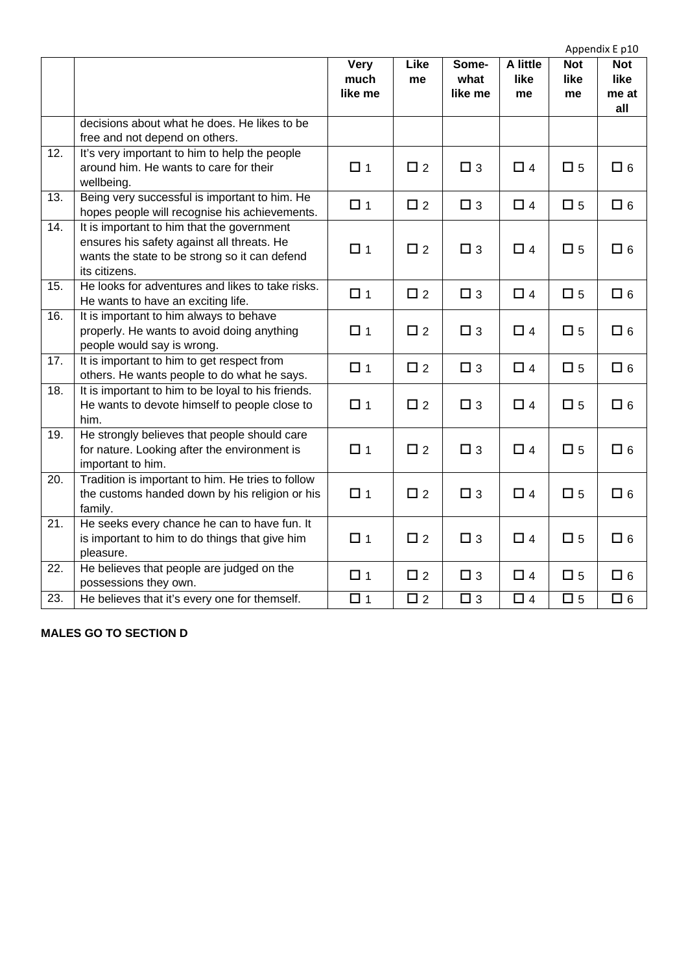|                   |                                                                                                                                                            |                                |             | Appendix E p10           |                        |                          |                                    |  |
|-------------------|------------------------------------------------------------------------------------------------------------------------------------------------------------|--------------------------------|-------------|--------------------------|------------------------|--------------------------|------------------------------------|--|
|                   |                                                                                                                                                            | <b>Very</b><br>much<br>like me | Like<br>me  | Some-<br>what<br>like me | A little<br>like<br>me | <b>Not</b><br>like<br>me | <b>Not</b><br>like<br>me at<br>all |  |
|                   | decisions about what he does. He likes to be<br>free and not depend on others.                                                                             |                                |             |                          |                        |                          |                                    |  |
| $\overline{12}$ . | It's very important to him to help the people<br>around him. He wants to care for their<br>wellbeing.                                                      | $\Box$ 1                       | $\Box$ 2    | $\Box$ 3                 | $\Box$ 4               | $\square$ 5              | $\square$ 6                        |  |
| $\overline{13}$ . | Being very successful is important to him. He<br>hopes people will recognise his achievements.                                                             | $\Box$ 1                       | $\square$ 2 | $\square$ 3              | $\Box$ 4               | $\square$ 5              | $\Box$ 6                           |  |
| 14.               | It is important to him that the government<br>ensures his safety against all threats. He<br>wants the state to be strong so it can defend<br>its citizens. | $\Box$ 1                       | $\square$ 2 | $\square$ 3              | $\Box$ 4               | $\square$ 5              | $\square$ 6                        |  |
| 15.               | He looks for adventures and likes to take risks.<br>He wants to have an exciting life.                                                                     | $\Box$ 1                       | $\square$ 2 | $\Box$ 3                 | $\Box$ 4               | $\square$ 5              | $\square$ 6                        |  |
| 16.               | It is important to him always to behave<br>properly. He wants to avoid doing anything<br>people would say is wrong.                                        | $\Box$ 1                       | $\square$ 2 | $\square$ 3              | $\Box$ 4               | $\square$ 5              | $\square$ 6                        |  |
| 17.               | It is important to him to get respect from<br>others. He wants people to do what he says.                                                                  | $\Box$ 1                       | $\square$ 2 | $\Box$ 3                 | $\Box$ 4               | $\square$ 5              | $\Box$ 6                           |  |
| 18.               | It is important to him to be loyal to his friends.<br>He wants to devote himself to people close to<br>him.                                                | $\Box$ 1                       | $\square$ 2 | $\Box$ 3                 | $\Box$ 4               | $\square$ 5              | $\square$ 6                        |  |
| 19.               | He strongly believes that people should care<br>for nature. Looking after the environment is<br>important to him.                                          | $\Box$ 1                       | $\Box$ 2    | $\Box$ 3                 | $\Box$ 4               | $\square$ 5              | $\square$ 6                        |  |
| 20.               | Tradition is important to him. He tries to follow<br>the customs handed down by his religion or his<br>family.                                             | $\Box$ 1                       | $\square$ 2 | $\square$ 3              | $\Box$ 4               | $\square$ 5              | $\square$ 6                        |  |
| $\overline{21}$   | He seeks every chance he can to have fun. It<br>is important to him to do things that give him<br>pleasure.                                                | $\Box$ 1                       | $\square$ 2 | $\square$ 3              | $\Box$ 4               | $\square$ 5              | $\square$ 6                        |  |
| 22.               | He believes that people are judged on the<br>possessions they own.                                                                                         | $\Box$ 1                       | $\square$ 2 | $\square$ 3              | $\Box$ 4               | $\square$ 5              | $\Box$ 6                           |  |
| 23.               | He believes that it's every one for themself.                                                                                                              | $\Box$ 1                       | $\Box$ 2    | $\square$ 3              | $\Box$ 4               | $\square$ 5              | $\Box$ 6                           |  |

### **MALES GO TO SECTION D**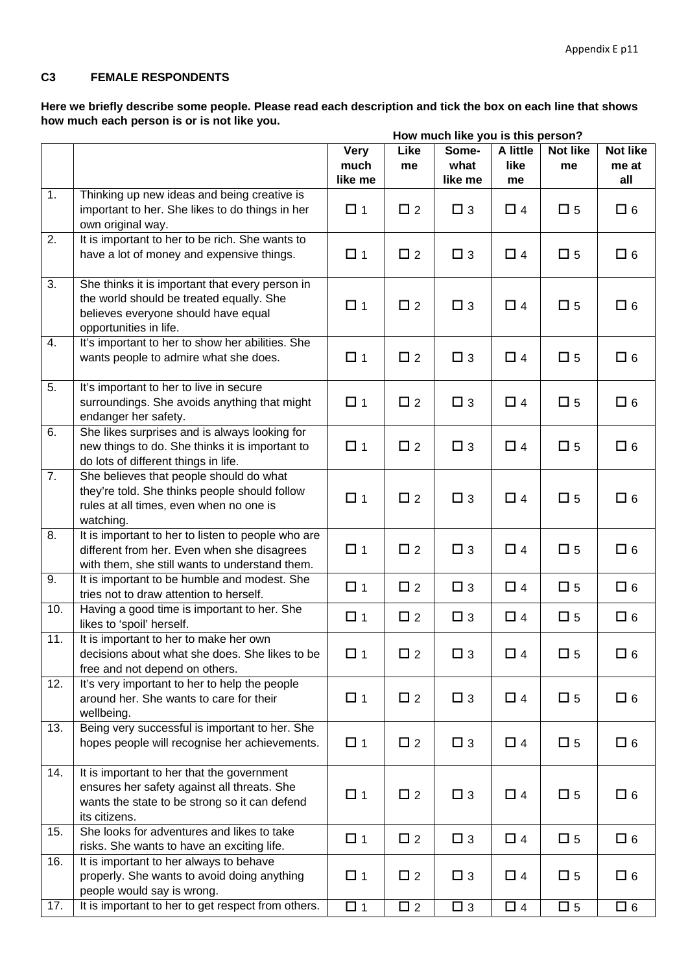### **C3 FEMALE RESPONDENTS**

**Here we briefly describe some people. Please read each description and tick the box on each line that shows how much each person is or is not like you.** 

|                  |                                                                                                                                                              | How much like you is this person? |             |                          |                        |                       |                          |
|------------------|--------------------------------------------------------------------------------------------------------------------------------------------------------------|-----------------------------------|-------------|--------------------------|------------------------|-----------------------|--------------------------|
|                  |                                                                                                                                                              | <b>Very</b><br>much<br>like me    | Like<br>me  | Some-<br>what<br>like me | A little<br>like<br>me | <b>Not like</b><br>me | Not like<br>me at<br>all |
| 1.               | Thinking up new ideas and being creative is<br>important to her. She likes to do things in her<br>own original way.                                          | $\Box$ 1                          | $\square$ 2 | $\square$ 3              | $\Box$ 4               | $\square$ 5           | $\square$ 6              |
| 2.               | It is important to her to be rich. She wants to<br>have a lot of money and expensive things.                                                                 | $\Box$ 1                          | $\square$ 2 | $\square$ 3              | $\Box$ 4               | $\square$ 5           | $\Box$ 6                 |
| $\overline{3}$ . | She thinks it is important that every person in<br>the world should be treated equally. She<br>believes everyone should have equal<br>opportunities in life. | $\Box$ 1                          | $\square$ 2 | $\square$ 3              | $\Box$ 4               | $\square$ 5           | $\square$ 6              |
| 4.               | It's important to her to show her abilities. She<br>wants people to admire what she does.                                                                    | $\Box$ 1                          | $\square$ 2 | $\square$ 3              | $\Box$ 4               | $\square$ 5           | $\square$ 6              |
| 5.               | It's important to her to live in secure<br>surroundings. She avoids anything that might<br>endanger her safety.                                              | $\Box$ 1                          | $\Box$ 2    | $\square$ 3              | $\Box$ 4               | $\square$ 5           | $\square$ 6              |
| 6.               | She likes surprises and is always looking for<br>new things to do. She thinks it is important to<br>do lots of different things in life.                     | $\Box$ 1                          | $\square$ 2 | $\square$ 3              | $\Box$ 4               | $\square$ 5           | $\square$ 6              |
| 7.               | She believes that people should do what<br>they're told. She thinks people should follow<br>rules at all times, even when no one is<br>watching.             | $\Box$ 1                          | $\square$ 2 | $\square$ 3              | $\Box$ 4               | $\square$ 5           | $\square$ 6              |
| 8.               | It is important to her to listen to people who are<br>different from her. Even when she disagrees<br>with them, she still wants to understand them.          | $\Box$ 1                          | $\Box$ 2    | $\square$ 3              | $\Box$ 4               | $\square$ 5           | $\square$ 6              |
| 9.               | It is important to be humble and modest. She<br>tries not to draw attention to herself.                                                                      | $\Box$ 1                          | $\Box$ 2    | $\square$ 3              | $\Box$ 4               | $\square$ 5           | $\square$ 6              |
| 10.              | Having a good time is important to her. She<br>likes to 'spoil' herself.                                                                                     | $\Box$ 1                          | $\square$ 2 | $\square$ 3              | $\Box$ 4               | $\square$ 5           | $\square$ 6              |
| 11.              | It is important to her to make her own<br>decisions about what she does. She likes to be<br>free and not depend on others.                                   | $\Box$ 1                          | $\Box$ 2    | $\Box$ 3                 | $\Box$ 4               | $\square$ 5           | $\square$ 6              |
| 12.              | It's very important to her to help the people<br>around her. She wants to care for their<br>wellbeing.                                                       | □ 1                               | $\Box$ 2    | $\Box$ 3                 | $\Box$ 4               | $\square$ 5           | $\square$ 6              |
| 13.              | Being very successful is important to her. She<br>hopes people will recognise her achievements.                                                              | $\Box$ 1                          | $\Box$ 2    | $\Box$ 3                 | $\Box$ 4               | $\square$ 5           | $\square$ 6              |
| 14.              | It is important to her that the government<br>ensures her safety against all threats. She<br>wants the state to be strong so it can defend<br>its citizens.  | $\Box$ 1                          | $\Box$ 2    | $\Box$ 3                 | $\Box$ 4               | $\square$ 5           | $\square$ 6              |
| 15.              | She looks for adventures and likes to take<br>risks. She wants to have an exciting life.                                                                     | $\Box$ 1                          | $\Box$ 2    | $\Box$ 3                 | $\Box$ 4               | $\square$ 5           | $\square$ 6              |
| 16.              | It is important to her always to behave<br>properly. She wants to avoid doing anything<br>people would say is wrong.                                         | $\Box$ 1                          | $\square$ 2 | $\Box$ 3                 | $\Box$ 4               | $\square$ 5           | $\square$ 6              |
| 17.              | It is important to her to get respect from others.                                                                                                           | $\Box$ 1                          | $\square$ 2 | $\Box$ 3                 | $\Box$ 4               | $\square$ 5           | $\square$ 6              |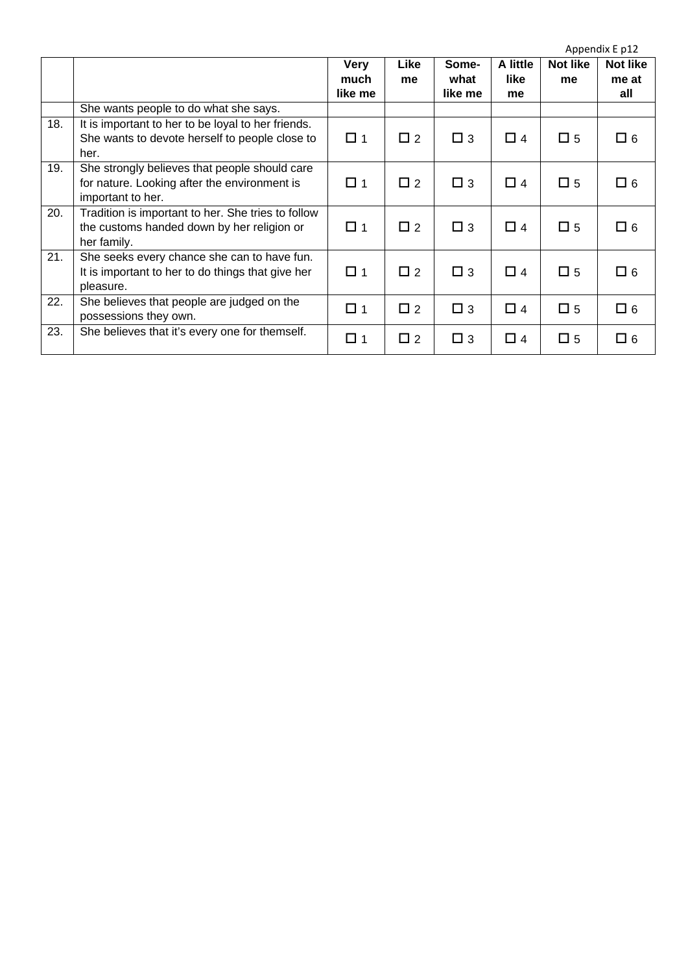|     |                                                                                                                    |                                |            |                          |                        |                | Appendix E p12           |
|-----|--------------------------------------------------------------------------------------------------------------------|--------------------------------|------------|--------------------------|------------------------|----------------|--------------------------|
|     |                                                                                                                    | <b>Very</b><br>much<br>like me | Like<br>me | Some-<br>what<br>like me | A little<br>like<br>me | Not like<br>me | Not like<br>me at<br>all |
|     | She wants people to do what she says.                                                                              |                                |            |                          |                        |                |                          |
| 18. | It is important to her to be loyal to her friends.<br>She wants to devote herself to people close to<br>her.       | $\Box$ 1                       | $\Box$ 2   | $\Box$ 3                 | $\Box$ 4               | $\square$ 5    | $\Box$ 6                 |
| 19. | She strongly believes that people should care<br>for nature. Looking after the environment is<br>important to her. | $\Box$ 1                       | $\Box$ 2   | $\Box$ 3                 | $\Box$ 4               | $\square$ 5    | $\square$ 6              |
| 20. | Tradition is important to her. She tries to follow<br>the customs handed down by her religion or<br>her family.    | □ 1                            | $\Box$ 2   | $\Box$ 3                 | $\Box$ 4               | $\square$ 5    | $\Box$ 6                 |
| 21. | She seeks every chance she can to have fun.<br>It is important to her to do things that give her<br>pleasure.      | $\Box$ 1                       | $\Box$ 2   | $\Box$ 3                 | $\Box$ 4               | $\square$ 5    | $\Box$ 6                 |
| 22. | She believes that people are judged on the<br>possessions they own.                                                | $\Box$ 1                       | $\Box$ 2   | $\Box$ 3                 | $\Box$ 4               | $\square$ 5    | $\square$ 6              |
| 23. | She believes that it's every one for themself.                                                                     | $\Box$ 1                       | $\Box$ 2   | $\Box$ 3                 | $\Box$ 4               | $\square$ 5    | $\square$ 6              |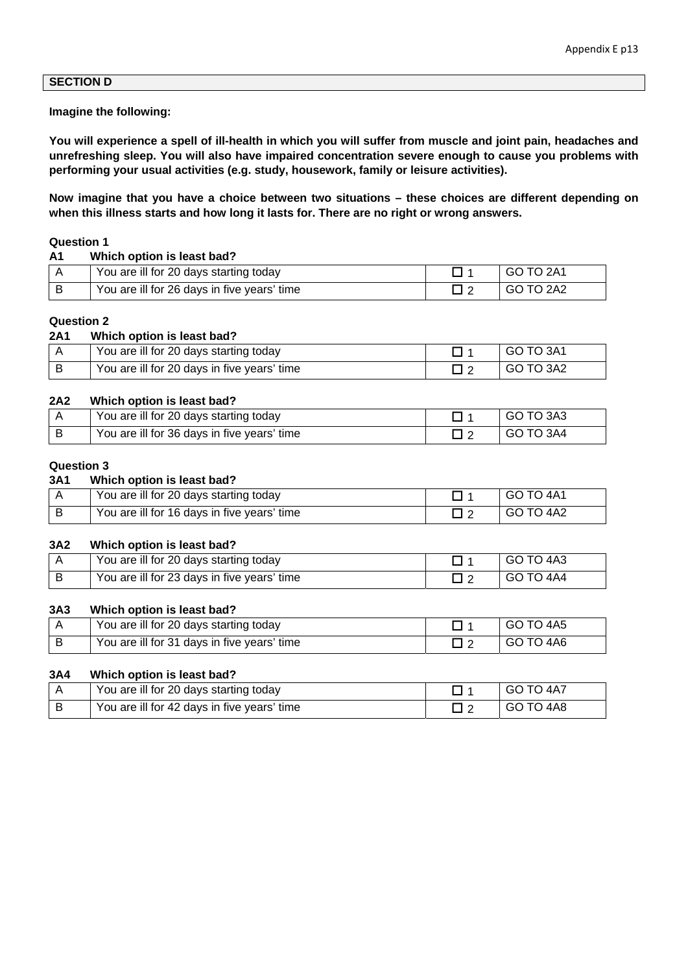### **SECTION D**

#### **Imagine the following:**

**You will experience a spell of ill-health in which you will suffer from muscle and joint pain, headaches and unrefreshing sleep. You will also have impaired concentration severe enough to cause you problems with performing your usual activities (e.g. study, housework, family or leisure activities).** 

**Now imagine that you have a choice between two situations – these choices are different depending on when this illness starts and how long it lasts for. There are no right or wrong answers.** 

#### **Question 1**

| A <sub>1</sub> | Which option is least bad?                  |           |
|----------------|---------------------------------------------|-----------|
|                | You are ill for 20 days starting today      | GO TO 2A1 |
|                | You are ill for 26 days in five years' time | GO TO 2A2 |

#### **Question 2**

#### **2A1 Which option is least bad?**

| You are ill for 20 days starting today      | GO TO 3A1 |
|---------------------------------------------|-----------|
| You are ill for 20 days in five years' time | GO TO 3A2 |

#### **2A2 Which option is least bad?**

| You are ill for 20 days starting today      | GO TO 3A3 |
|---------------------------------------------|-----------|
| You are ill for 36 days in five years' time | GO TO 3A4 |

#### **Question 3**

#### **3A1 Which option is least bad?**

| You are ill for 20 days starting today      | GO TO 4A1 |
|---------------------------------------------|-----------|
| You are ill for 16 days in five years' time | GO TO 4A2 |

#### **3A2 Which option is least bad?**

| You are ill for 20 days starting today      | GO TO 4A3 |
|---------------------------------------------|-----------|
| You are ill for 23 days in five years' time | GO TO 4A4 |

#### **3A3 Which option is least bad?**

| You are ill for 20 days starting today      | GO TO 4A5 |
|---------------------------------------------|-----------|
| You are ill for 31 days in five years' time | GO TO 4A6 |

#### **3A4 Which option is least bad?**

| You are ill for 20 days starting today      | GO TO 4A7 |
|---------------------------------------------|-----------|
| You are ill for 42 days in five years' time | GO TO 4A8 |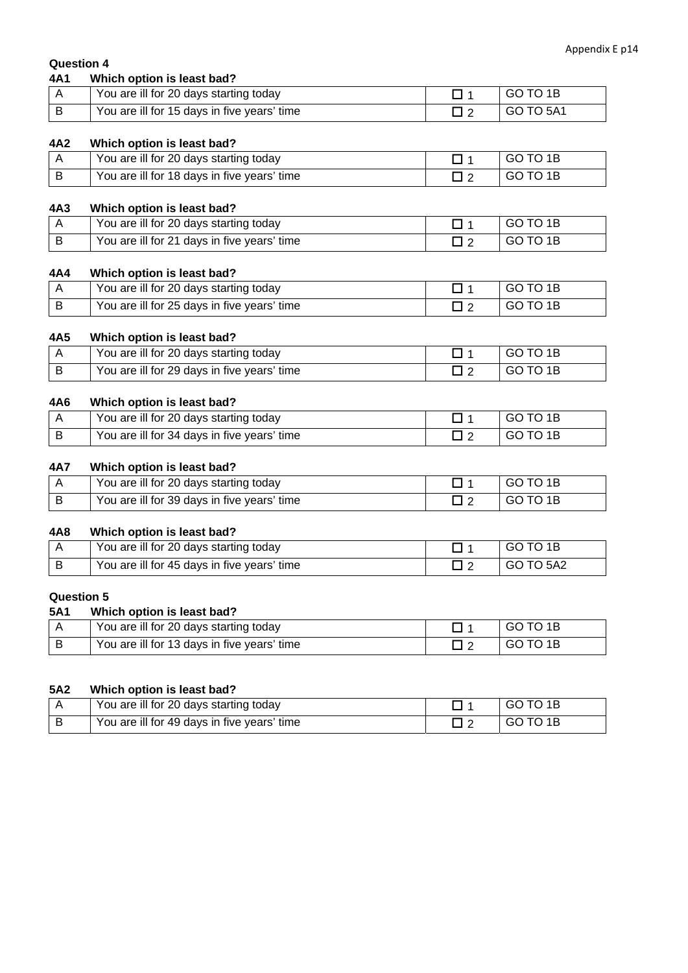### **Question 4**

| 4A1 | Which option is least bad?                  |           |
|-----|---------------------------------------------|-----------|
|     | You are ill for 20 days starting today      | GO TO 1B  |
|     | You are ill for 15 days in five years' time | GO TO 5A1 |

#### **4A2 Which option is least bad?**

| You are ill for 20 days starting today      | GO TO 1B |
|---------------------------------------------|----------|
| You are ill for 18 days in five years' time | GO TO 1B |

#### **4A3 Which option is least bad?**

| You are ill for 20 days starting today      | GO TO 1B |
|---------------------------------------------|----------|
| You are ill for 21 days in five years' time | GO TO 1B |

#### **4A4 Which option is least bad?**

| You are ill for 20 days starting today      | GO TO 1B |
|---------------------------------------------|----------|
| You are ill for 25 days in five years' time | GO TO 1B |

#### **4A5 Which option is least bad?**

| You are ill for 20 days starting today      | GO TO 1B |
|---------------------------------------------|----------|
| You are ill for 29 days in five years' time | GO TO 1B |

### **4A6 Which option is least bad?**

| You are ill for 20 days starting today      | GO TO 1B |
|---------------------------------------------|----------|
| You are ill for 34 days in five years' time | GO TO 1B |

#### **4A7 Which option is least bad?**

| You are ill for 20 days starting today      | GO TO 1B |
|---------------------------------------------|----------|
| You are ill for 39 days in five years' time | GO TO 1B |

#### **4A8 Which option is least bad?**

| You are ill for 20 days starting today      | GO TO 1B  |
|---------------------------------------------|-----------|
| You are ill for 45 days in five years' time | GO TO 5A2 |

#### **Question 5 5A1 Which option is least bad?**

| <b>DAT</b> | vinich option is least bad?                 |          |
|------------|---------------------------------------------|----------|
|            | You are ill for 20 days starting today      | GO TO 1B |
|            | You are ill for 13 days in five years' time | GO TO 1B |

#### **5A2 Which option is least bad?**

| You are ill for 20 days starting today      | GO TO 1B |
|---------------------------------------------|----------|
| You are ill for 49 days in five years' time | GO TO 1B |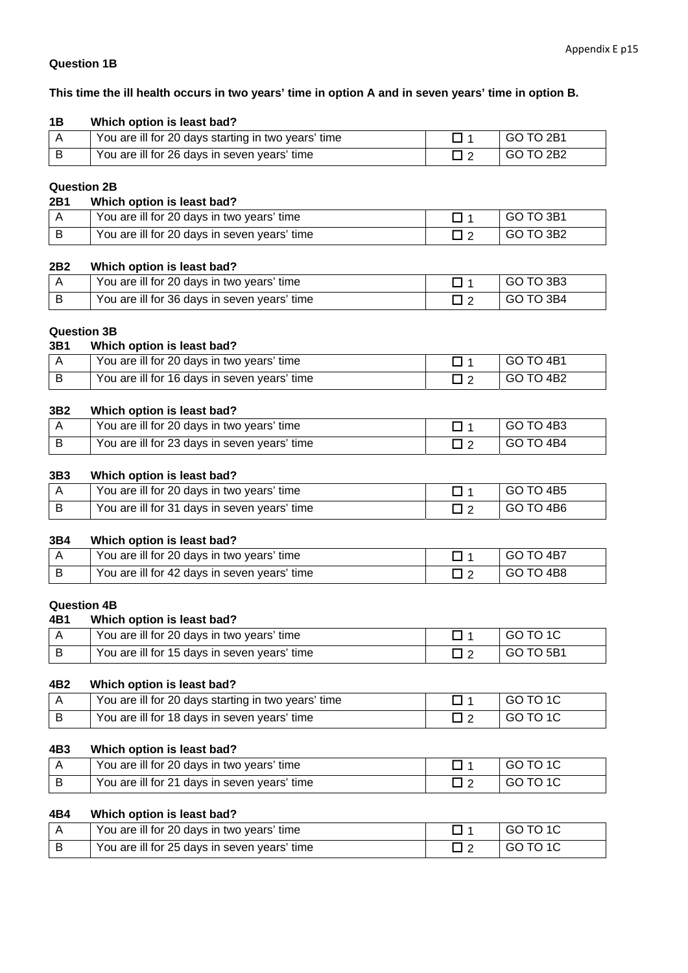### **Question 1B**

#### **This time the ill health occurs in two years' time in option A and in seven years' time in option B.**

| 1B | Which option is least bad?                          |           |
|----|-----------------------------------------------------|-----------|
|    | You are ill for 20 days starting in two years' time | GO TO 2B1 |
|    | You are ill for 26 days in seven years' time        | GO TO 2B2 |

### **Question 2B**

| 2B1 | Which option is least bad?                   |           |
|-----|----------------------------------------------|-----------|
|     | You are ill for 20 days in two years' time   | GO TO 3B1 |
|     | You are ill for 20 days in seven years' time | GO TO 3B2 |

#### **2B2 Which option is least bad?**

| You are ill for 20 days in two years' time   | GO TO 3B3 |
|----------------------------------------------|-----------|
| You are ill for 36 days in seven years' time | GO TO 3B4 |

### **Question 3B**

| 3B1 | Which option is least bad?                   |           |
|-----|----------------------------------------------|-----------|
|     | You are ill for 20 days in two years' time   | GO TO 4B1 |
|     | You are ill for 16 days in seven years' time | GO TO 4B2 |

#### **3B2 Which option is least bad?**

| You are ill for 20 days in two years' time   | <b>GO TO 4B3</b> |
|----------------------------------------------|------------------|
| You are ill for 23 days in seven years' time | GO TO 4B4        |

### **3B3 Which option is least bad?**

| You are ill for 20 days in two years' time   | GO TO 4B5 |
|----------------------------------------------|-----------|
| You are ill for 31 days in seven years' time | GO TO 4B6 |

#### **3B4 Which option is least bad?**

| You are ill for 20 days in two years' time   | GO TO 4B7        |
|----------------------------------------------|------------------|
| You are ill for 42 days in seven years' time | <b>GO TO 4B8</b> |

### **Question 4B**

### **4B1 Which option is least bad?**

| You are ill for 20 days in two years' time   | GO TO 1C    |
|----------------------------------------------|-------------|
| You are ill for 15 days in seven years' time | I GO TO 5B1 |

#### **4B2 Which option is least bad?**

| You are ill for 20 days starting in two years' time | 'GO TO 1C |
|-----------------------------------------------------|-----------|
| You are ill for 18 days in seven years' time        | GO TO 1C  |

#### **4B3 Which option is least bad?**

| You are ill for 20 days in two years' time   | GO TO 1C |
|----------------------------------------------|----------|
| You are ill for 21 days in seven years' time | GO TO 1C |

### **4B4 Which option is least bad?**

| You are ill for 20 days in two years' time   | GO TO 1C |
|----------------------------------------------|----------|
| You are ill for 25 days in seven years' time | GO TO 1C |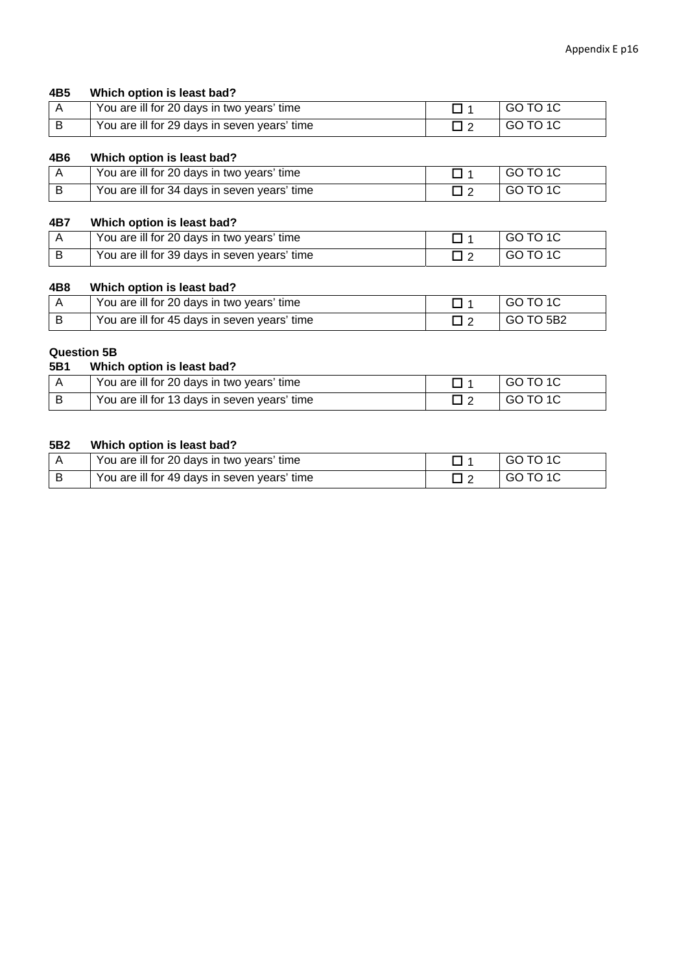#### **4B5 Which option is least bad?**

| You are ill for 20 days in two years' time   | I GO TO 1C |
|----------------------------------------------|------------|
| You are ill for 29 days in seven years' time | I GO TO 1C |

#### **4B6 Which option is least bad?**

| You are ill for 20 days in two years' time   | GO TO 1C |
|----------------------------------------------|----------|
| You are ill for 34 days in seven years' time | GO TO 1C |

### **4B7 Which option is least bad?**

| You are ill for 20 days in two years' time   | GO TO 1C |
|----------------------------------------------|----------|
| You are ill for 39 days in seven years' time | GO TO 1C |

### **4B8 Which option is least bad?**

| You are ill for 20 days in two years' time   | GO TO 1C         |
|----------------------------------------------|------------------|
| You are ill for 45 days in seven years' time | <b>GO TO 5B2</b> |

# **Question 5B**

|                | wu <del>c</del> əlivli JD                    |  |          |  |  |
|----------------|----------------------------------------------|--|----------|--|--|
| 5B1            | Which option is least bad?                   |  |          |  |  |
|                | You are ill for 20 days in two years' time   |  | GO TO 1C |  |  |
| $\overline{B}$ | You are ill for 13 days in seven years' time |  | GO TO 1C |  |  |

### **5B2 Which option is least bad?**

| You are ill for 20 days in two years' time   | GO TO 1C |
|----------------------------------------------|----------|
| You are ill for 49 days in seven years' time | GO TO 1C |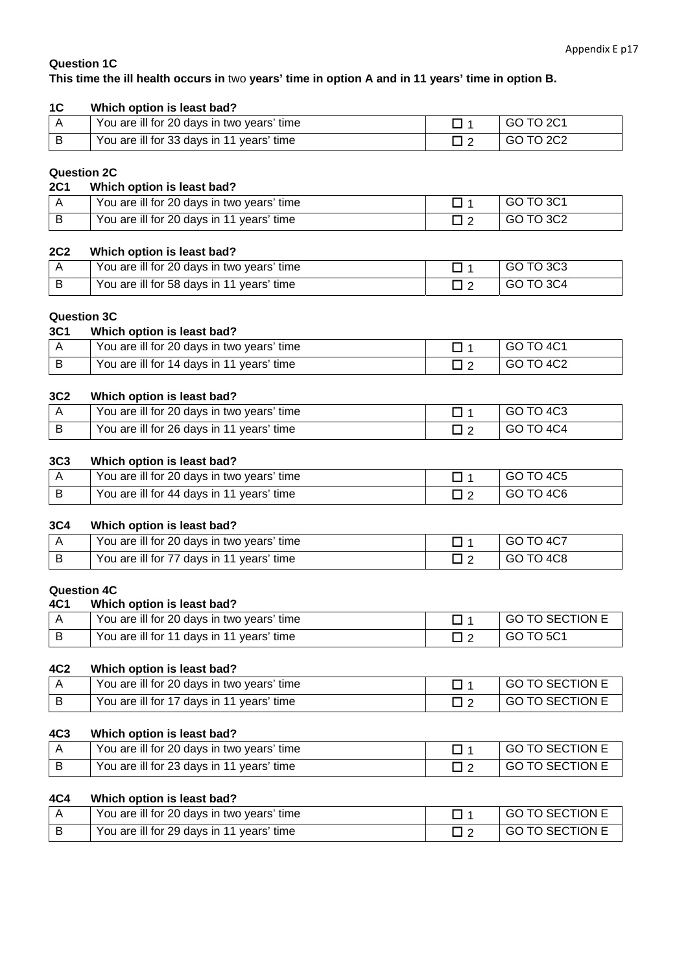### **Question 1C**

### **This time the ill health occurs in** two **years' time in option A and in 11 years' time in option B.**

| 1 <sup>C</sup> | Which option is least bad?                 |           |
|----------------|--------------------------------------------|-----------|
|                | You are ill for 20 days in two years' time | GO TO 2C1 |
|                | You are ill for 33 days in 11 years' time  | GO TO 2C2 |

#### **Question 2C**

### **2C1 Which option is least bad?**

| You are ill for 20 days in two years' time | GO TO 3C1 |
|--------------------------------------------|-----------|
| You are ill for 20 days in 11 years' time  | GO TO 3C2 |

### **2C2 Which option is least bad?**

| You are ill for 20 days in two years' time | GO TO 3C3 |
|--------------------------------------------|-----------|
| You are ill for 58 days in 11 years' time  | GO TO 3C4 |

### **Question 3C**

| 3C <sub>1</sub> | Which option is least bad?                 |             |
|-----------------|--------------------------------------------|-------------|
|                 | You are ill for 20 days in two years' time | I GO TO 4C1 |
| ∣ B             | You are ill for 14 days in 11 years' time  | GO TO 4C2   |

#### **3C2 Which option is least bad?**

| You are ill for 20 days in two years' time | GO TO 4C3 |
|--------------------------------------------|-----------|
| You are ill for 26 days in 11 years' time  | GO TO 4C4 |

#### **3C3 Which option is least bad?**

| You are ill for 20 days in two years' time | GO TO 4C5 |
|--------------------------------------------|-----------|
| You are ill for 44 days in 11 years' time  | GO TO 4C6 |

### **3C4 Which option is least bad?**

| You are ill for 20 days in two years' time | GO TO 4C7  |
|--------------------------------------------|------------|
| You are ill for 77 days in 11 years' time  | ∣GO TO 4C8 |

#### **Question 4C**

### **4C1 Which option is least bad?**

| You are ill for 20 days in two years' time | GO TO SECTION E |
|--------------------------------------------|-----------------|
| You are ill for 11 days in 11 years' time  | I GO TO 5C1     |

#### **4C2 Which option is least bad?**

| You are ill for 20 days in two years' time | <b>GO TO SECTION E</b> |
|--------------------------------------------|------------------------|
| You are ill for 17 days in 11 years' time  | GO TO SECTION E        |

#### **4C3 Which option is least bad?**

| You are ill for 20 days in two years' time | I GO TO SECTION E |
|--------------------------------------------|-------------------|
| You are ill for 23 days in 11 years' time  | I GO TO SECTION E |

#### **4C4 Which option is least bad?**

| You are ill for 20 days in two years' time | <b>GO TO SECTION E</b> |
|--------------------------------------------|------------------------|
| You are ill for 29 days in 11 years' time  | <b>GO TO SECTION E</b> |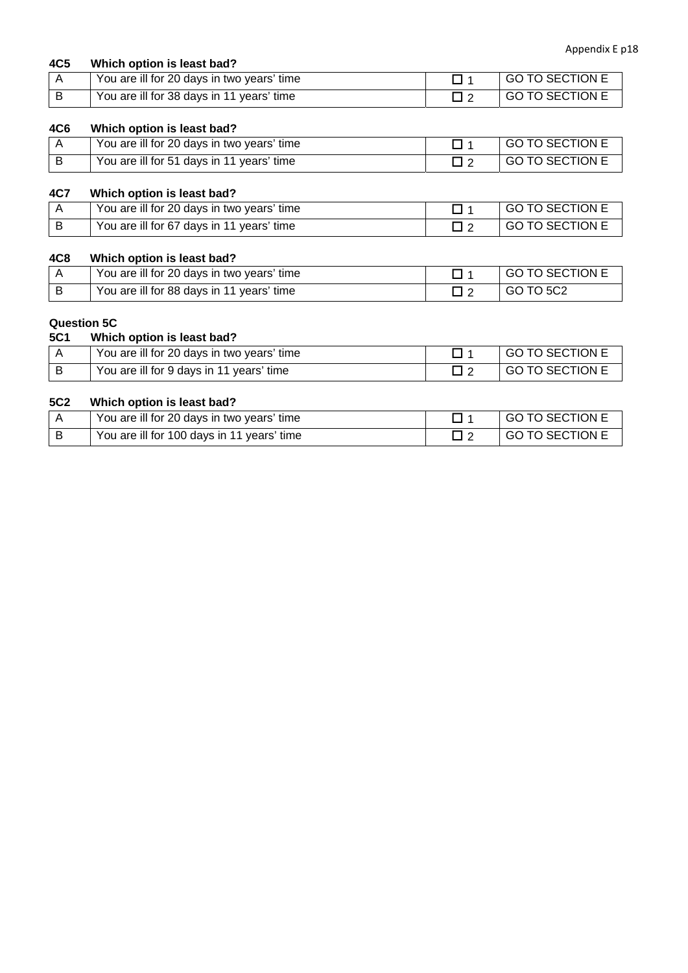| 4C5 | Which option is least bad?                 |                 |
|-----|--------------------------------------------|-----------------|
|     | You are ill for 20 days in two years' time | GO TO SECTION E |
|     | You are ill for 38 days in 11 years' time  | GO TO SECTION E |

### **4C6 Which option is least bad?**

| You are ill for 20 days in two years' time | GO TO SECTION E        |
|--------------------------------------------|------------------------|
| You are ill for 51 days in 11 years' time  | <b>GO TO SECTION E</b> |

### **4C7 Which option is least bad?**

| You are ill for 20 days in two years' time | I GO TO SECTION E |
|--------------------------------------------|-------------------|
| You are ill for 67 days in 11 years' time  | I GO TO SECTION E |

### **4C8 Which option is least bad?**

| You are ill for 20 days in two years' time | GO TO SECTION E |
|--------------------------------------------|-----------------|
| You are ill for 88 days in 11 years' time  | I GO TO 5C2     |

### **Question 5C**

### **5C1 Which option is least bad?**

| You are ill for 20 days in two years' time | GO TO SECTION E        |
|--------------------------------------------|------------------------|
| You are ill for 9 days in 11 years' time   | <b>GO TO SECTION E</b> |

### **5C2 Which option is least bad?**

| You are ill for 20 days in two years' time | GO TO SECTION E   |
|--------------------------------------------|-------------------|
| You are ill for 100 days in 11 years' time | I GO TO SECTION E |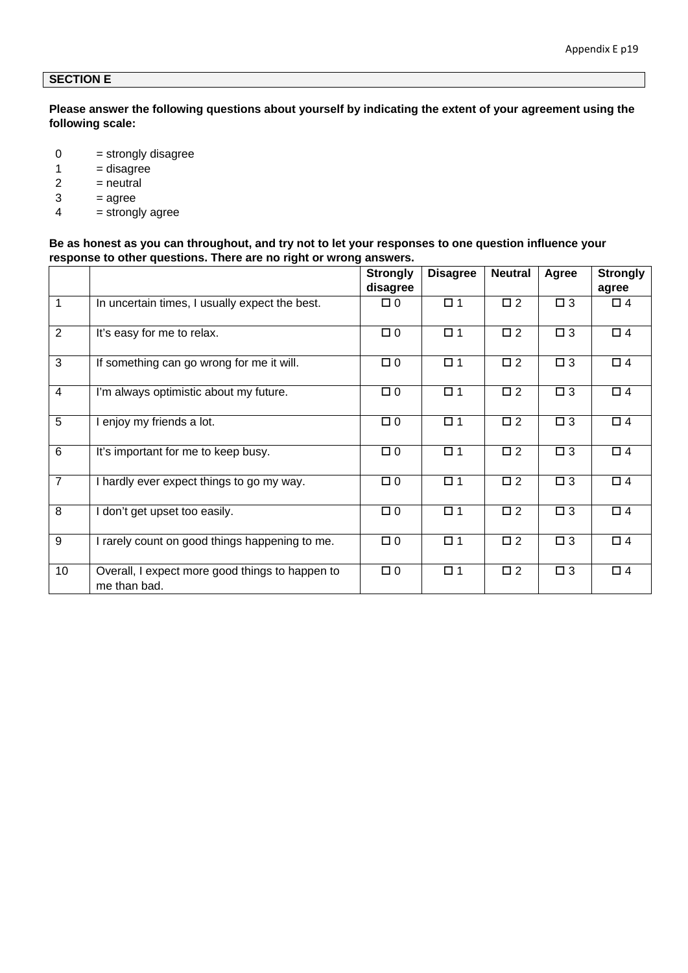### **SECTION E**

**Please answer the following questions about yourself by indicating the extent of your agreement using the following scale:** 

- $0 =$  strongly disagree
- $1 =$  disagree
- $2 =$  neutral
- $3 = a$ gree
- $4 =$  strongly agree

### **Be as honest as you can throughout, and try not to let your responses to one question influence your response to other questions. There are no right or wrong answers.**

|                |                                                                 | <b>Strongly</b> | <b>Disagree</b> | <b>Neutral</b> | Agree       | <b>Strongly</b> |
|----------------|-----------------------------------------------------------------|-----------------|-----------------|----------------|-------------|-----------------|
|                |                                                                 | disagree        |                 |                |             | agree           |
| 1              | In uncertain times, I usually expect the best.                  | $\Box$ 0        | $\square$ 1     | $\square$ 2    | $\Box$ 3    | $\Box$ 4        |
| $\overline{2}$ | It's easy for me to relax.                                      | $\Box$ 0        | $\square$ 1     | $\square$ 2    | $\square$ 3 | $\Box$ 4        |
| $\overline{3}$ | If something can go wrong for me it will.                       | $\Box$ 0        | $\square$ 1     | $\square$ 2    | $\square$ 3 | $\square$ 4     |
| $\overline{4}$ | I'm always optimistic about my future.                          | $\Box$ 0        | $\square$ 1     | $\square$ 2    | $\square$ 3 | $\Box$ 4        |
| 5              | enjoy my friends a lot.                                         | $\Box$ 0        | $\square$ 1     | $\square$ 2    | $\Box$ 3    | $\Box$ 4        |
| 6              | It's important for me to keep busy.                             | $\Box$ 0        | $\square$ 1     | $\square$ 2    | $\square$ 3 | $\square$ 4     |
| $\overline{7}$ | I hardly ever expect things to go my way.                       | $\Box$ 0        | $\square$ 1     | $\square$ 2    | $\Box$ 3    | $\Box$ 4        |
| 8              | I don't get upset too easily.                                   | $\Box$ 0        | $\square$ 1     | $\square$ 2    | $\square$ 3 | $\Box$ 4        |
| 9              | I rarely count on good things happening to me.                  | $\Box$ 0        | $\square$ 1     | $\square$ 2    | $\square$ 3 | $\Box$ 4        |
| 10             | Overall, I expect more good things to happen to<br>me than bad. | $\Box$ 0        | $\square$ 1     | $\square$ 2    | $\square$ 3 | $\Box$ 4        |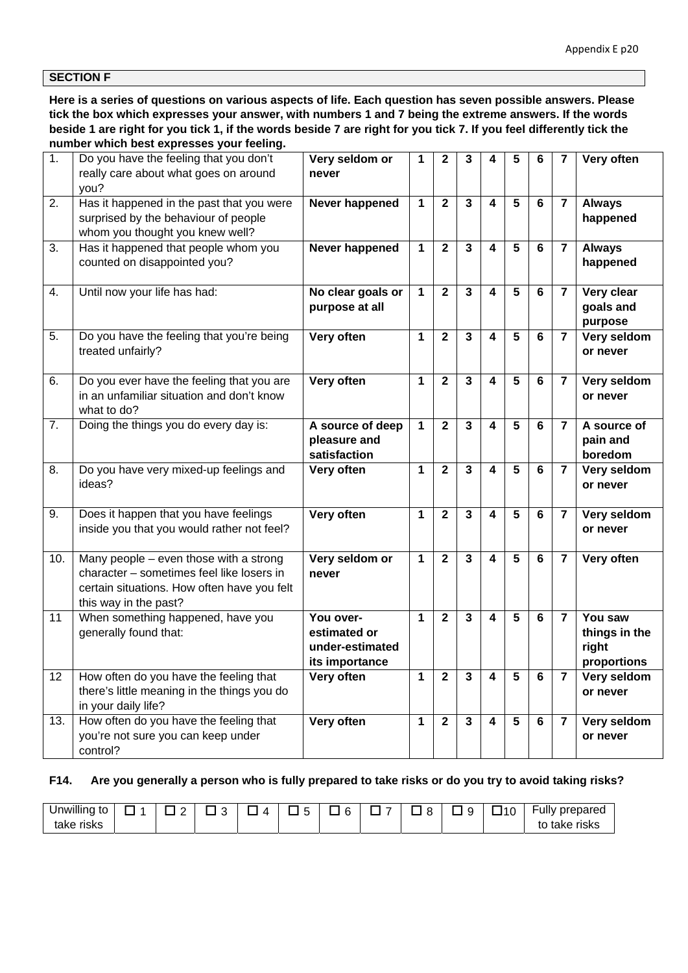### **SECTION F**

**Here is a series of questions on various aspects of life. Each question has seven possible answers. Please tick the box which expresses your answer, with numbers 1 and 7 being the extreme answers. If the words beside 1 are right for you tick 1, if the words beside 7 are right for you tick 7. If you feel differently tick the number which best expresses your feeling.** 

| $\overline{1}$ . | Do you have the feeling that you don't           | Very seldom or    | 1 | $\mathbf{2}$   | 3            | 4                       | 5              | 6              | 7                       | Very often         |
|------------------|--------------------------------------------------|-------------------|---|----------------|--------------|-------------------------|----------------|----------------|-------------------------|--------------------|
|                  | really care about what goes on around            | never             |   |                |              |                         |                |                |                         |                    |
|                  | you?                                             |                   |   |                |              |                         |                |                |                         |                    |
| 2.               | Has it happened in the past that you were        | Never happened    | 1 | $\overline{2}$ | $\mathbf{3}$ | $\overline{\mathbf{4}}$ | 5              | 6              | $\overline{7}$          | <b>Always</b>      |
|                  | surprised by the behaviour of people             |                   |   |                |              |                         |                |                |                         | happened           |
|                  | whom you thought you knew well?                  |                   |   |                |              |                         |                |                |                         |                    |
| 3.               | Has it happened that people whom you             | Never happened    | 1 | $\mathbf{2}$   | $\mathbf{3}$ | $\overline{\mathbf{4}}$ | 5              | 6              | $\overline{7}$          | <b>Always</b>      |
|                  | counted on disappointed you?                     |                   |   |                |              |                         |                |                |                         | happened           |
|                  |                                                  |                   |   |                |              |                         |                |                |                         |                    |
| 4.               | Until now your life has had:                     | No clear goals or | 1 | $\overline{2}$ | $\mathbf{3}$ | 4                       | 5              | 6              | $\overline{7}$          | Very clear         |
|                  |                                                  | purpose at all    |   |                |              |                         |                |                |                         | goals and          |
|                  |                                                  |                   |   |                |              |                         |                |                |                         | purpose            |
| 5.               | Do you have the feeling that you're being        | Very often        | 1 | $\overline{2}$ | $\mathbf{3}$ | $\overline{\mathbf{4}}$ | 5              | 6              | $\overline{7}$          | Very seldom        |
|                  | treated unfairly?                                |                   |   |                |              |                         |                |                |                         | or never           |
|                  |                                                  |                   |   |                |              |                         |                |                |                         |                    |
| 6.               | Do you ever have the feeling that you are        | Very often        | 1 | $\overline{2}$ | $\mathbf{3}$ | $\overline{\mathbf{4}}$ | 5              | 6              | $\overline{7}$          | Very seldom        |
|                  | in an unfamiliar situation and don't know        |                   |   |                |              |                         |                |                |                         | or never           |
|                  | what to do?                                      |                   |   |                |              |                         |                |                |                         |                    |
| 7.               | Doing the things you do every day is:            | A source of deep  | 1 | $\overline{2}$ | $\mathbf{3}$ | 4                       | 5              | 6              | $\overline{7}$          | A source of        |
|                  |                                                  | pleasure and      |   |                |              |                         |                |                |                         | pain and           |
|                  |                                                  | satisfaction      |   |                |              |                         |                |                |                         | boredom            |
| 8.               | Do you have very mixed-up feelings and<br>ideas? | Very often        | 1 | $\overline{2}$ | $\mathbf{3}$ | $\overline{\mathbf{4}}$ | 5              | 6              | $\overline{7}$          | <b>Very seldom</b> |
|                  |                                                  |                   |   |                |              |                         |                |                |                         | or never           |
| 9.               | Does it happen that you have feelings            | Very often        | 1 | $\overline{2}$ | $\mathbf{3}$ | $\overline{\mathbf{4}}$ | 5              | $6\phantom{1}$ | $\overline{7}$          | Very seldom        |
|                  | inside you that you would rather not feel?       |                   |   |                |              |                         |                |                |                         | or never           |
|                  |                                                  |                   |   |                |              |                         |                |                |                         |                    |
| 10.              | Many people $-$ even those with a strong         | Very seldom or    | 1 | $\mathbf{2}$   | $\mathbf{3}$ | $\overline{\mathbf{4}}$ | 5              | 6              | $\overline{7}$          | Very often         |
|                  | character - sometimes feel like losers in        | never             |   |                |              |                         |                |                |                         |                    |
|                  | certain situations. How often have you felt      |                   |   |                |              |                         |                |                |                         |                    |
|                  | this way in the past?                            |                   |   |                |              |                         |                |                |                         |                    |
| 11               | When something happened, have you                | You over-         | 1 | $\mathbf{2}$   | $\mathbf{3}$ | $\overline{\mathbf{4}}$ | 5              | 6              | $\overline{7}$          | You saw            |
|                  | generally found that:                            | estimated or      |   |                |              |                         |                |                |                         | things in the      |
|                  |                                                  | under-estimated   |   |                |              |                         |                |                |                         | right              |
|                  |                                                  | its importance    |   |                |              |                         |                |                |                         | proportions        |
| 12               | How often do you have the feeling that           | Very often        | 1 | $\mathbf{2}$   | $\mathbf{3}$ | 4                       | 5              | 6              | $\overline{\mathbf{7}}$ | Very seldom        |
|                  | there's little meaning in the things you do      |                   |   |                |              |                         |                |                |                         | or never           |
|                  | in your daily life?                              |                   |   |                |              |                         |                |                |                         |                    |
| 13.              | How often do you have the feeling that           | Very often        | 1 | $\overline{2}$ | $\mathbf{3}$ | $\overline{\mathbf{4}}$ | $\overline{5}$ | $6\phantom{1}$ | $\overline{7}$          | Very seldom        |
|                  | you're not sure you can keep under               |                   |   |                |              |                         |                |                |                         | or never           |
|                  | control?                                         |                   |   |                |              |                         |                |                |                         |                    |

#### **F14. Are you generally a person who is fully prepared to take risks or do you try to avoid taking risks?**

| <br>" "nwilling.<br>- LC<br>. . |  | $\Lambda$ | $\sim$ | - | O | ◡ | .10 | prepared<br>-ullv                   |
|---------------------------------|--|-----------|--------|---|---|---|-----|-------------------------------------|
| take<br>risks                   |  |           |        |   |   |   |     | ∈take risks<br>$\ddot{\phantom{1}}$ |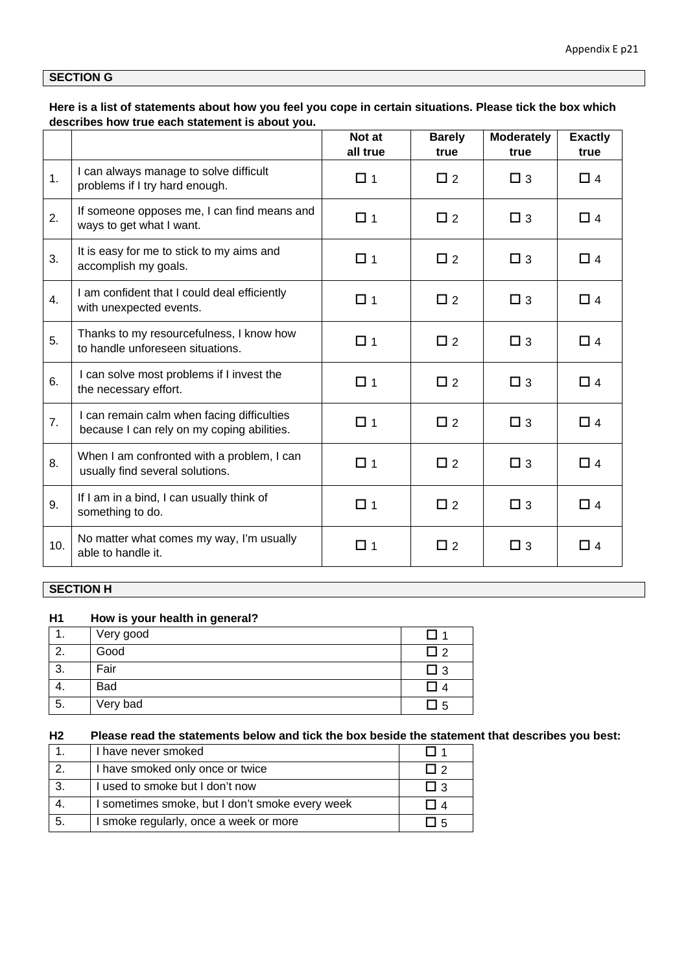### **SECTION G**

**Here is a list of statements about how you feel you cope in certain situations. Please tick the box which describes how true each statement is about you.** 

|     |                                                                                          | Not at<br>all true | <b>Barely</b><br>true | <b>Moderately</b><br>true | <b>Exactly</b><br>true |
|-----|------------------------------------------------------------------------------------------|--------------------|-----------------------|---------------------------|------------------------|
| 1.  | I can always manage to solve difficult<br>problems if I try hard enough.                 | □ 1                | $\Box$ 2              | $\Box$ 3                  | $\Box$ 4               |
| 2.  | If someone opposes me, I can find means and<br>ways to get what I want.                  | $\Box$ 1           | $\Box$ 2              | $\square$ 3               | $\Box$ 4               |
| 3.  | It is easy for me to stick to my aims and<br>accomplish my goals.                        | $\Box$ 1           | $\Box$ 2              | $\Box$ 3                  | $\Box$ 4               |
| 4.  | I am confident that I could deal efficiently<br>with unexpected events.                  | $\Box$ 1           | $\Box$ 2              | $\square$ 3               | $\Box$ 4               |
| 5.  | Thanks to my resourcefulness, I know how<br>to handle unforeseen situations.             | $\Box$ 1           | $\Box$ 2              | $\Box$ 3                  | $\Box$ 4               |
| 6.  | I can solve most problems if I invest the<br>the necessary effort.                       | $\Box$ 1           | $\Box$ 2              | $\Box$ 3                  | $\Box$ 4               |
| 7.  | I can remain calm when facing difficulties<br>because I can rely on my coping abilities. | $\Box$ 1           | $\Box$ 2              | $\square$ 3               | $\Box$ 4               |
| 8.  | When I am confronted with a problem, I can<br>usually find several solutions.            | $\Box$ 1           | $\Box$ 2              | $\Box$ 3                  | $\Box$ 4               |
| 9.  | If I am in a bind, I can usually think of<br>something to do.                            | $\Box$ 1           | $\Box$ 2              | $\Box$ 3                  | $\Box$ 4               |
| 10. | No matter what comes my way, I'm usually<br>able to handle it.                           | □ 1                | $\Box$ 2              | $\Box$ 3                  | $\Box$ 4               |

### **SECTION H**

### **H1 How is your health in general?**

|         | Very good  |       |
|---------|------------|-------|
| $\sim$  | Good       | - I 2 |
| ົ<br>ు. | Fair       | ∣3    |
| 4.      | <b>Bad</b> |       |
| 5.      | Very bad   | -5    |

# **H2 Please read the statements below and tick the box beside the statement that describes you best:**

|     | I have never smoked                             |       |
|-----|-------------------------------------------------|-------|
|     | I have smoked only once or twice                |       |
| -3. | I used to smoke but I don't now                 | l I 3 |
| 4.  | I sometimes smoke, but I don't smoke every week |       |
| -5. | I smoke regularly, once a week or more          |       |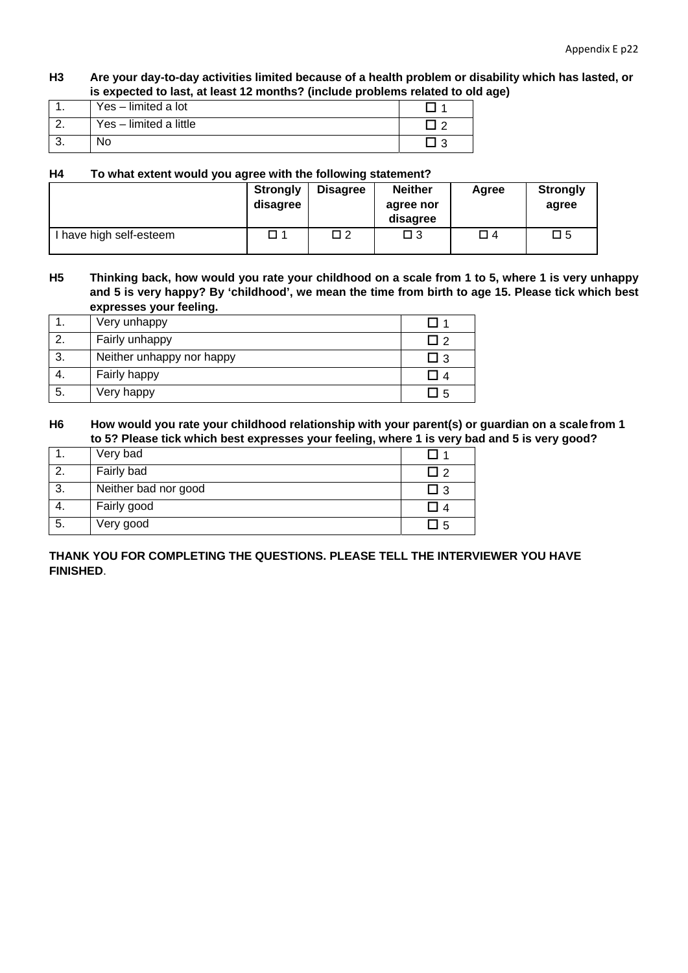**H3 Are your day-to-day activities limited because of a health problem or disability which has lasted, or is expected to last, at least 12 months? (include problems related to old age)** 

|    | Yes - limited a lot    |  |
|----|------------------------|--|
|    | Yes - limited a little |  |
| J. | No                     |  |

#### **H4 To what extent would you agree with the following statement?**

|                         | <b>Strongly</b><br>disagree | <b>Disagree</b> | <b>Neither</b><br>agree nor<br>disagree | Agree | <b>Strongly</b><br>agree |
|-------------------------|-----------------------------|-----------------|-----------------------------------------|-------|--------------------------|
| I have high self-esteem | □ 1                         | □ 2             | $\square$ 3                             | □ 4   | 口 5                      |

### **H5 Thinking back, how would you rate your childhood on a scale from 1 to 5, where 1 is very unhappy and 5 is very happy? By 'childhood', we mean the time from birth to age 15. Please tick which best expresses your feeling.**

|     | Very unhappy              |            |
|-----|---------------------------|------------|
|     | Fairly unhappy            | l I 2      |
| ર   | Neither unhappy nor happy | LI 3       |
|     | Fairly happy              |            |
| -5. | Very happy                | $\sqrt{5}$ |

### **H6 How would you rate your childhood relationship with your parent(s) or guardian on a scale from 1 to 5? Please tick which best expresses your feeling, where 1 is very bad and 5 is very good?**

|     | . .                  |     |
|-----|----------------------|-----|
| . . | Very bad             |     |
|     | Fairly bad           | ? ר |
| -3. | Neither bad nor good | 囗 3 |
|     | Fairly good          |     |
| 5.  | Very good            | J 5 |

#### **THANK YOU FOR COMPLETING THE QUESTIONS. PLEASE TELL THE INTERVIEWER YOU HAVE FINISHED**.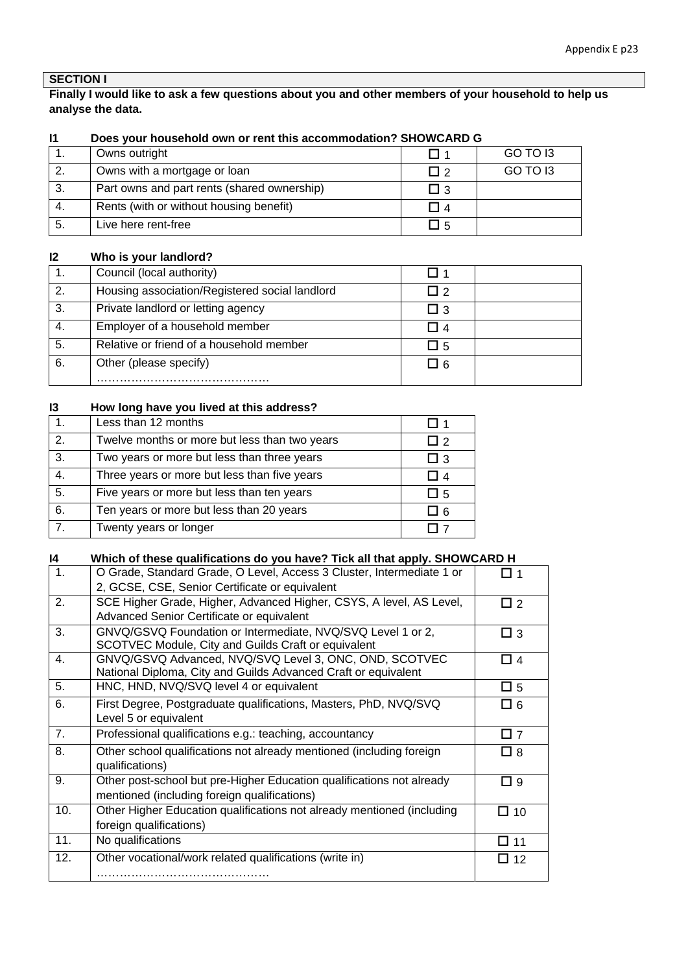# **SECTION I**

### **Finally I would like to ask a few questions about you and other members of your household to help us analyse the data.**

| Owns outright                               |       | GO TO 13 |
|---------------------------------------------|-------|----------|
| Owns with a mortgage or loan                | II?   | GO TO 13 |
| Part owns and part rents (shared ownership) | I 3   |          |
| Rents (with or without housing benefit)     |       |          |
| Live here rent-free                         | l I 5 |          |

### **I1 Does your household own or rent this accommodation? SHOWCARD G**

#### **I2 Who is your landlord?**

|    | Council (local authority)                      |          |  |
|----|------------------------------------------------|----------|--|
| 2. | Housing association/Registered social landlord | П2       |  |
| 3. | Private landlord or letting agency             | $\Box$ 3 |  |
| 4. | Employer of a household member                 | Π4       |  |
| 5. | Relative or friend of a household member       | $\Box$ 5 |  |
| 6. | Other (please specify)                         | $\Box$ 6 |  |
|    |                                                |          |  |

### **I3 How long have you lived at this address?**

|                  | Less than 12 months                           |            |
|------------------|-----------------------------------------------|------------|
| 2.               | Twelve months or more but less than two years | $\sqrt{2}$ |
| 3.               | Two years or more but less than three years   | ⊿ 3        |
| 4.               | Three years or more but less than five years  | I 4        |
| 5.               | Five years or more but less than ten years    | ᅴ 5        |
| 6.               | Ten years or more but less than 20 years      | ⊿ പ        |
| $\overline{7}$ . | Twenty years or longer                        |            |

| 14               | Which of these qualifications do you have? Tick all that apply. SHOWCARD H |             |
|------------------|----------------------------------------------------------------------------|-------------|
| 1.               | O Grade, Standard Grade, O Level, Access 3 Cluster, Intermediate 1 or      | □ 1         |
|                  | 2, GCSE, CSE, Senior Certificate or equivalent                             |             |
| $\overline{2}$ . | SCE Higher Grade, Higher, Advanced Higher, CSYS, A level, AS Level,        | $\Box$ 2    |
|                  | Advanced Senior Certificate or equivalent                                  |             |
| 3.               | GNVQ/GSVQ Foundation or Intermediate, NVQ/SVQ Level 1 or 2,                | $\Box$ 3    |
|                  | SCOTVEC Module, City and Guilds Craft or equivalent                        |             |
| 4.               | GNVQ/GSVQ Advanced, NVQ/SVQ Level 3, ONC, OND, SCOTVEC                     | $\Box$ 4    |
|                  | National Diploma, City and Guilds Advanced Craft or equivalent             |             |
| 5.               | HNC, HND, NVQ/SVQ level 4 or equivalent                                    | $\Box$ 5    |
| 6.               | First Degree, Postgraduate qualifications, Masters, PhD, NVQ/SVQ           | $\square$ 6 |
|                  | Level 5 or equivalent                                                      |             |
| 7.               | Professional qualifications e.g.: teaching, accountancy                    | $\square$ 7 |
| 8.               | Other school qualifications not already mentioned (including foreign       | $\square$ 8 |
|                  | qualifications)                                                            |             |
| 9.               | Other post-school but pre-Higher Education qualifications not already      | $\Box$ 9    |
|                  | mentioned (including foreign qualifications)                               |             |
| 10.              | Other Higher Education qualifications not already mentioned (including     | $\Box$ 10   |
|                  | foreign qualifications)                                                    |             |
| 11.              | No qualifications                                                          | □ 11        |
| 12.              | Other vocational/work related qualifications (write in)                    | □ 12        |
|                  |                                                                            |             |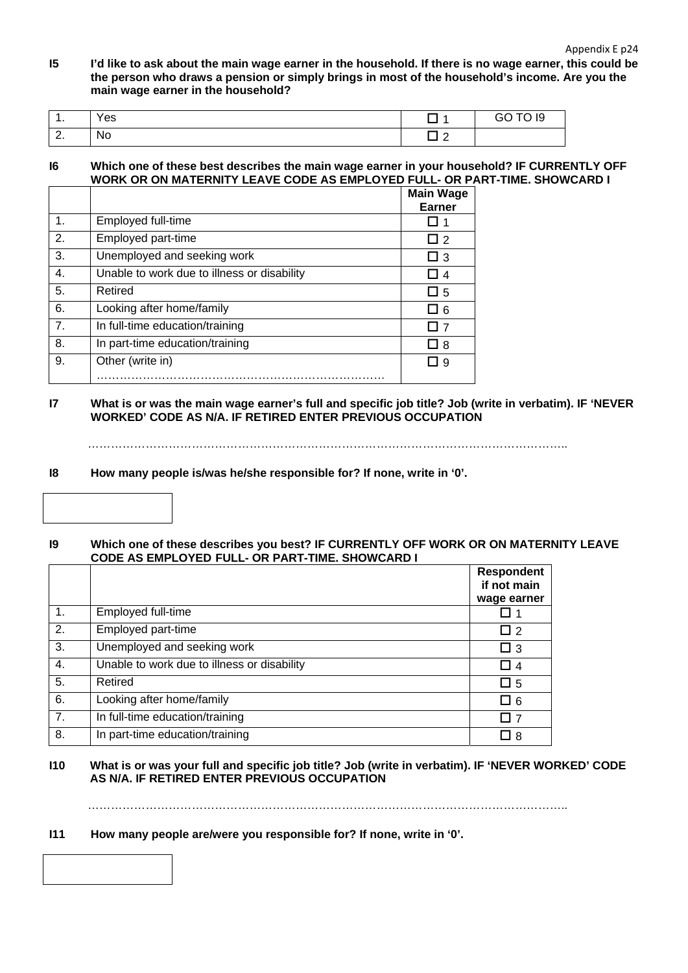**I5 I'd like to ask about the main wage earner in the household. If there is no wage earner, this could be the person who draws a pension or simply brings in most of the household's income. Are you the main wage earner in the household?** 

| . .      | Yes              |         | <b>GO TO 19</b> |
|----------|------------------|---------|-----------------|
| <u>.</u> | . .<br><b>No</b> | -<br>__ |                 |

#### **I6 Which one of these best describes the main wage earner in your household? IF CURRENTLY OFF WORK OR ON MATERNITY LEAVE CODE AS EMPLOYED FULL- OR PART-TIME. SHOWCARD I**

|                |                                             | <b>Main Wage</b> |
|----------------|---------------------------------------------|------------------|
|                |                                             | <b>Earner</b>    |
| $\mathbf 1$ .  | Employed full-time                          |                  |
| 2.             | Employed part-time                          | □ 2              |
| 3.             | Unemployed and seeking work                 | $\Box$ 3         |
| 4.             | Unable to work due to illness or disability | -4               |
| 5.             | Retired                                     | $\Box$ 5         |
| 6.             | Looking after home/family                   | ⊥ 6              |
| 7 <sub>1</sub> | In full-time education/training             |                  |
| 8.             | In part-time education/training             | □ 8              |
| 9.             | Other (write in)                            | 9                |
|                |                                             |                  |

#### **I7 What is or was the main wage earner's full and specific job title? Job (write in verbatim). IF 'NEVER WORKED' CODE AS N/A. IF RETIRED ENTER PREVIOUS OCCUPATION**

……………………………………………………………………………………………………………..

#### **I8 How many people is/was he/she responsible for? If none, write in '0'.**

| 19 | Which one of these describes you best? IF CURRENTLY OFF WORK OR ON MATERNITY LEAVE |
|----|------------------------------------------------------------------------------------|
|    | <b>CODE AS EMPLOYED FULL- OR PART-TIME. SHOWCARD I</b>                             |

|    |                                             | <b>Respondent</b><br>if not main |
|----|---------------------------------------------|----------------------------------|
|    |                                             | wage earner                      |
| 1. | Employed full-time                          |                                  |
| 2. | Employed part-time                          | $\Box$ 2                         |
| 3. | Unemployed and seeking work                 | $\Box$ 3                         |
| 4. | Unable to work due to illness or disability | $\Box$ 4                         |
| 5. | Retired                                     | $\Box$ 5                         |
| 6. | Looking after home/family                   | $\square$ 6                      |
| 7. | In full-time education/training             | П 7                              |
| 8. | In part-time education/training             | □ 8                              |

### **I10 What is or was your full and specific job title? Job (write in verbatim). IF 'NEVER WORKED' CODE AS N/A. IF RETIRED ENTER PREVIOUS OCCUPATION**

……………………………………………………………………………………………………………..

### **I11 How many people are/were you responsible for? If none, write in '0'.**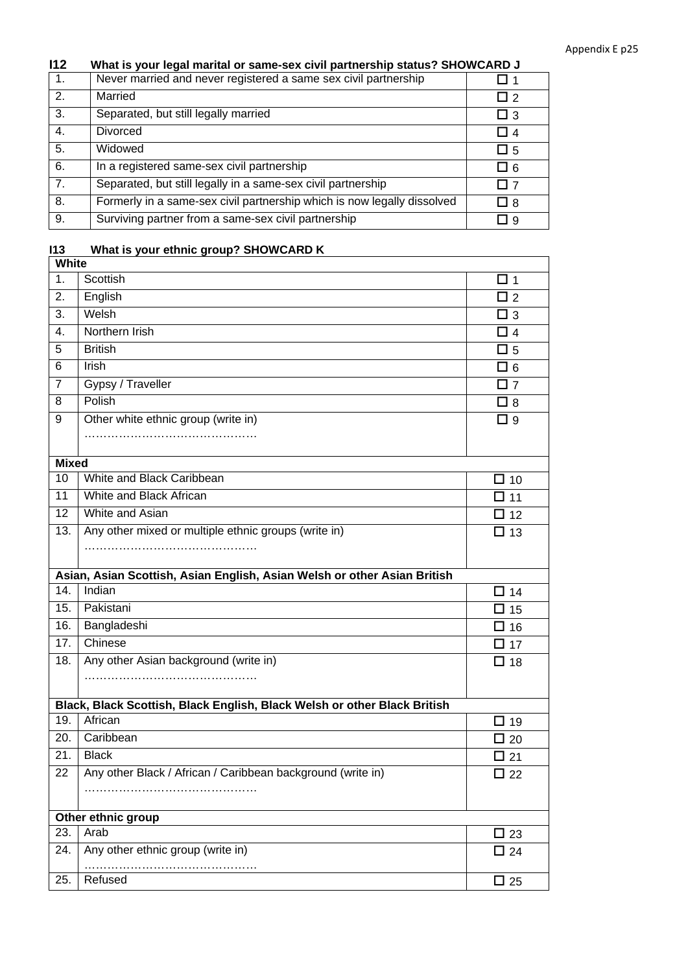## **I12 What is your legal marital or same-sex civil partnership status? SHOWCARD J**

| $\overline{1}$ . | Never married and never registered a same sex civil partnership         |                |
|------------------|-------------------------------------------------------------------------|----------------|
| 2.               | Married                                                                 | $\overline{2}$ |
| 3.               | Separated, but still legally married                                    | $\Box$ 3       |
| 4.               | <b>Divorced</b>                                                         | I I 4          |
| 5.               | Widowed                                                                 | LJ 5           |
| 6.               | In a registered same-sex civil partnership                              | LJ 6           |
| 7.               | Separated, but still legally in a same-sex civil partnership            | <b>T</b>       |
| 8.               | Formerly in a same-sex civil partnership which is now legally dissolved | ∐ 8            |
| 9.               | Surviving partner from a same-sex civil partnership                     | 19             |

# **I13 What is your ethnic group? SHOWCARD K**

| White          |                                                                          |              |
|----------------|--------------------------------------------------------------------------|--------------|
| 1.             | Scottish                                                                 | □ 1          |
| 2.             | English                                                                  | $\square$ 2  |
| 3.             | Welsh                                                                    | $\square$ 3  |
| 4.             | Northern Irish                                                           | $\Box$ 4     |
| 5              | <b>British</b>                                                           | $\square$ 5  |
| 6              | <b>Irish</b>                                                             | □ 6          |
| $\overline{7}$ | Gypsy / Traveller                                                        | $\square$ 7  |
| 8              | Polish                                                                   | $\Box$ 8     |
| 9              | Other white ethnic group (write in)                                      | $\Box$ 9     |
|                |                                                                          |              |
| <b>Mixed</b>   |                                                                          |              |
| 10             | White and Black Caribbean                                                | $\Box$ 10    |
| 11             | White and Black African                                                  | $\Box$ 11    |
| 12             | White and Asian                                                          | $\Box$ 12    |
| 13.            | Any other mixed or multiple ethnic groups (write in)                     | $\Box$ 13    |
|                |                                                                          |              |
|                | Asian, Asian Scottish, Asian English, Asian Welsh or other Asian British |              |
| 14.            | Indian                                                                   | $\square$ 14 |
| 15.            | Pakistani                                                                | $\Box$ 15    |
| 16.            | Bangladeshi                                                              | $\Box$ 16    |
| 17.            | Chinese                                                                  | $\square$ 17 |
| 18.            | Any other Asian background (write in)                                    | $\square$ 18 |
|                |                                                                          |              |
|                | Black, Black Scottish, Black English, Black Welsh or other Black British |              |
| 19.            | African                                                                  | $\Box$ 19    |
| 20.            | Caribbean                                                                | $\square$ 20 |
| 21.            | <b>Black</b>                                                             | $\square$ 21 |
| 22             | Any other Black / African / Caribbean background (write in)              | □ 22         |
|                |                                                                          |              |
|                | Other ethnic group                                                       |              |
| 23.            | Arab                                                                     | $\square$ 23 |
| 24.            | Any other ethnic group (write in)                                        | $\Box$ 24    |
|                |                                                                          |              |
| 25.            | Refused                                                                  | $\square$ 25 |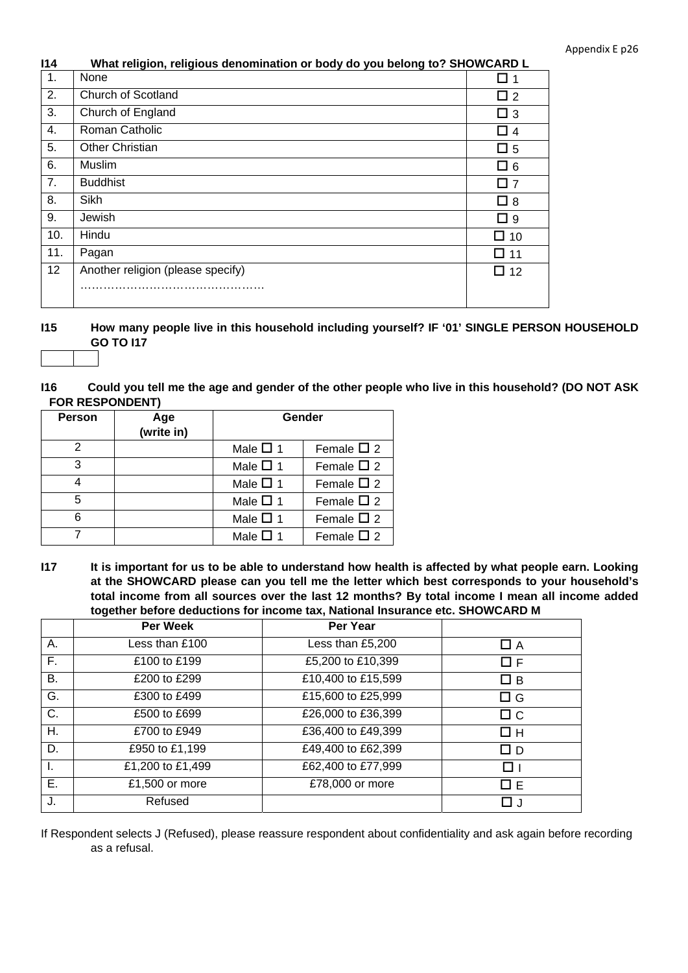| 114 | What religion, religious denomination or body do you belong to? SHOWCARD L |  |  |
|-----|----------------------------------------------------------------------------|--|--|
|     |                                                                            |  |  |

| $\mathbf{1}$ . | None                              |             |
|----------------|-----------------------------------|-------------|
| 2.             | Church of Scotland                | $\Box$ 2    |
| 3.             | Church of England                 | $\Box$ 3    |
| 4.             | Roman Catholic                    | $\Box$ 4    |
| 5.             | <b>Other Christian</b>            | $\Box$ 5    |
| 6.             | Muslim                            | $\square$ 6 |
| 7.             | <b>Buddhist</b>                   | □ 7         |
| 8.             | Sikh                              | $\Box$ 8    |
| 9.             | Jewish                            | $\Box$ 9    |
| 10.            | Hindu                             | $\Box$ 10   |
| 11.            | Pagan                             | $\Box$ 11   |
| 12             | Another religion (please specify) | $\Box$ 12   |
|                |                                   |             |

- **I15 How many people live in this household including yourself? IF '01' SINGLE PERSON HOUSEHOLD GO TO I17**
- **I16 Could you tell me the age and gender of the other people who live in this household? (DO NOT ASK FOR RESPONDENT)**

| <b>Person</b> | Age<br>(write in) | Gender           |                    |
|---------------|-------------------|------------------|--------------------|
| 2             |                   | Male $\square$ 1 | Female $\Box$ 2    |
| 3             |                   | Male $\square$ 1 | Female $\square$ 2 |
|               |                   | Male $\square$ 1 | Female $\square$ 2 |
| 5             |                   | Male $\Box$ 1    | Female $\Box$ 2    |
| 6             |                   | Male $\square$ 1 | Female $\Box$ 2    |
|               |                   | Male $\square$ 1 | Female $\Box$ 2    |

**I17 It is important for us to be able to understand how health is affected by what people earn. Looking at the SHOWCARD please can you tell me the letter which best corresponds to your household's total income from all sources over the last 12 months? By total income I mean all income added together before deductions for income tax, National Insurance etc. SHOWCARD M** 

|    | <b>Per Week</b>  | Per Year           |                |
|----|------------------|--------------------|----------------|
| А. | Less than £100   | Less than £5,200   | □ A            |
| Е. | £100 to £199     | £5,200 to £10,399  | □ F            |
| В. | £200 to £299     | £10,400 to £15,599 | $\Box$ B       |
| G. | £300 to £499     | £15,600 to £25,999 | □ G            |
| C. | £500 to £699     | £26,000 to £36,399 | $\Box$ $\circ$ |
| Η. | £700 to £949     | £36,400 to £49,399 | Πн             |
| D. | £950 to £1,199   | £49,400 to £62,399 | ם ב            |
| ъ. | £1,200 to £1,499 | £62,400 to £77,999 | ⊓⊥             |
| Е. | £1,500 or more   | £78,000 or more    | □ E            |
| J. | Refused          |                    |                |

If Respondent selects J (Refused), please reassure respondent about confidentiality and ask again before recording as a refusal.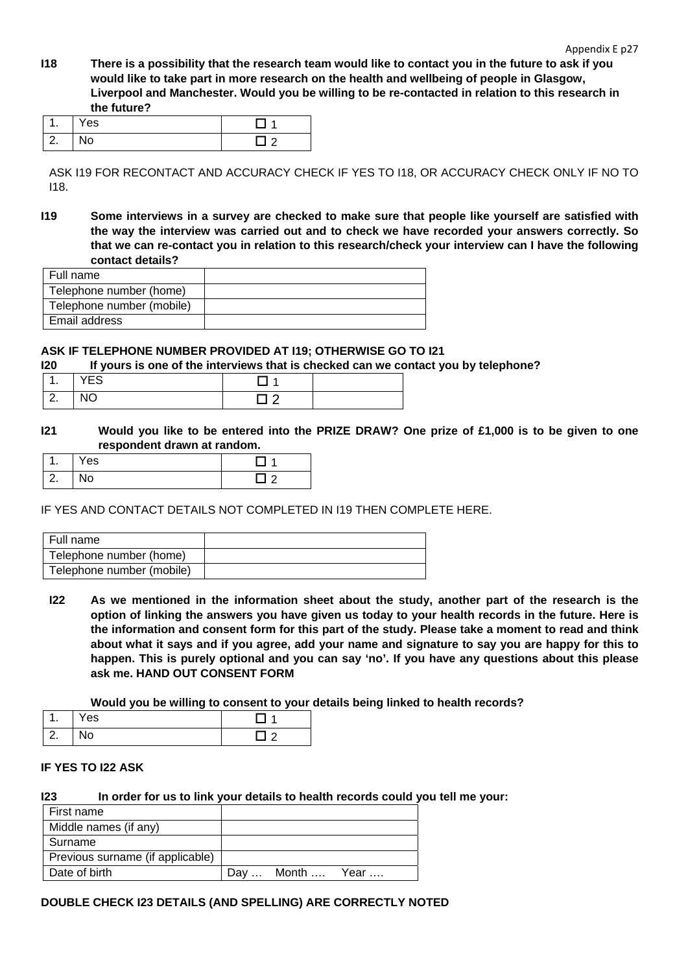**I18 There is a possibility that the research team would like to contact you in the future to ask if you would like to take part in more research on the health and wellbeing of people in Glasgow, Liverpool and Manchester. Would you be willing to be re-contacted in relation to this research in the future?** 

| . .        | 'es |  |
|------------|-----|--|
| $\sqrt{2}$ | טצו |  |

ASK I19 FOR RECONTACT AND ACCURACY CHECK IF YES TO I18, OR ACCURACY CHECK ONLY IF NO TO I18.

**I19 Some interviews in a survey are checked to make sure that people like yourself are satisfied with the way the interview was carried out and to check we have recorded your answers correctly. So that we can re-contact you in relation to this research/check your interview can I have the following contact details?** 

| Full name                 |  |
|---------------------------|--|
| Telephone number (home)   |  |
| Telephone number (mobile) |  |
| Email address             |  |

#### **ASK IF TELEPHONE NUMBER PROVIDED AT I19; OTHERWISE GO TO I21**

**I20 If yours is one of the interviews that is checked can we contact you by telephone?** 

|               | $\sqrt{2}$<br>∼ |  |
|---------------|-----------------|--|
| ╭<br><u>.</u> | $\sim$<br>NU    |  |

**I21 Would you like to be entered into the PRIZE DRAW? One prize of £1,000 is to be given to one respondent drawn at random.**

| ι.                                   | Yes |  |
|--------------------------------------|-----|--|
| $\overline{\phantom{a}}$<br><u>.</u> | ◥◡  |  |

IF YES AND CONTACT DETAILS NOT COMPLETED IN I19 THEN COMPLETE HERE.

| Full name                 |  |
|---------------------------|--|
| Telephone number (home)   |  |
| Telephone number (mobile) |  |

**I22 As we mentioned in the information sheet about the study, another part of the research is the option of linking the answers you have given us today to your health records in the future. Here is the information and consent form for this part of the study. Please take a moment to read and think about what it says and if you agree, add your name and signature to say you are happy for this to happen. This is purely optional and you can say 'no'. If you have any questions about this please ask me. HAND OUT CONSENT FORM**

 **Would you be willing to consent to your details being linked to health records?** 

| . .                | Yes |  |
|--------------------|-----|--|
| l 2<br><u>. . </u> | ٧о  |  |

### **IF YES TO I22 ASK**

**I23 In order for us to link your details to health records could you tell me your:** 

| First name                       |            |      |
|----------------------------------|------------|------|
| Middle names (if any)            |            |      |
| Surname                          |            |      |
| Previous surname (if applicable) |            |      |
| Date of birth                    | Day  Month | Year |

#### **DOUBLE CHECK I23 DETAILS (AND SPELLING) ARE CORRECTLY NOTED**